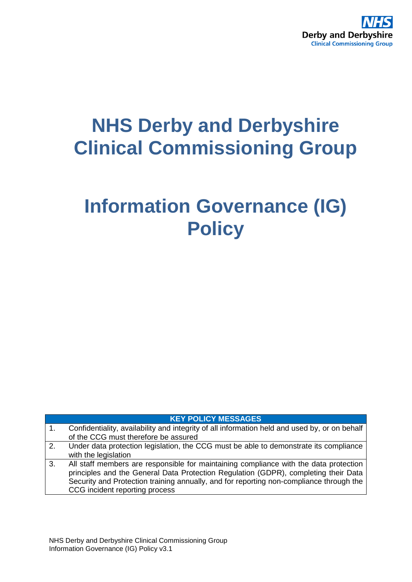

# **NHS Derby and Derbyshire Clinical Commissioning Group**

# **Information Governance (IG) Policy**

| <b>KEY POLICY MESSAGES</b> |  |
|----------------------------|--|
|                            |  |

| 1. | Confidentiality, availability and integrity of all information held and used by, or on behalf |
|----|-----------------------------------------------------------------------------------------------|
|    | of the CCG must therefore be assured                                                          |
| 2. | Under data protection legislation, the CCG must be able to demonstrate its compliance         |
|    | with the legislation                                                                          |
| 3. | All staff members are responsible for maintaining compliance with the data protection         |
|    |                                                                                               |
|    | principles and the General Data Protection Regulation (GDPR), completing their Data           |
|    | Security and Protection training annually, and for reporting non-compliance through the       |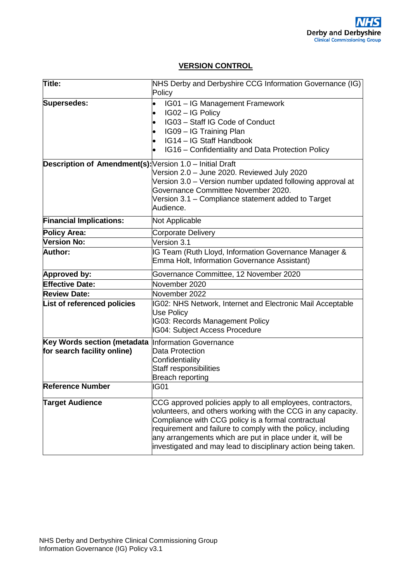## **VERSION CONTROL**

| Title:                                                   | NHS Derby and Derbyshire CCG Information Governance (IG)<br>Policy                                                                                                                                                                                                                                                                                                             |
|----------------------------------------------------------|--------------------------------------------------------------------------------------------------------------------------------------------------------------------------------------------------------------------------------------------------------------------------------------------------------------------------------------------------------------------------------|
| <b>Supersedes:</b>                                       | IG01 - IG Management Framework<br>IG02 - IG Policy<br>$\bullet$<br>IG03 - Staff IG Code of Conduct<br>IG09 - IG Training Plan<br>IG14 - IG Staff Handbook<br>IG16 – Confidentiality and Data Protection Policy                                                                                                                                                                 |
| Description of Amendment(s): Version 1.0 - Initial Draft | Version 2.0 - June 2020. Reviewed July 2020<br>Version 3.0 - Version number updated following approval at<br>Governance Committee November 2020.<br>Version 3.1 – Compliance statement added to Target<br>Audience.                                                                                                                                                            |
| <b>Financial Implications:</b>                           | Not Applicable                                                                                                                                                                                                                                                                                                                                                                 |
| <b>Policy Area:</b>                                      | Corporate Delivery                                                                                                                                                                                                                                                                                                                                                             |
| Version No:                                              | Version 3.1                                                                                                                                                                                                                                                                                                                                                                    |
| <b>Author:</b>                                           | IG Team (Ruth Lloyd, Information Governance Manager &<br>Emma Holt, Information Governance Assistant)                                                                                                                                                                                                                                                                          |
| Approved by:                                             | Governance Committee, 12 November 2020                                                                                                                                                                                                                                                                                                                                         |
| <b>Effective Date:</b>                                   | November 2020                                                                                                                                                                                                                                                                                                                                                                  |
| <b>Review Date:</b>                                      | November 2022                                                                                                                                                                                                                                                                                                                                                                  |
| List of referenced policies                              | IG02: NHS Network, Internet and Electronic Mail Acceptable<br><b>Use Policy</b><br><b>IG03: Records Management Policy</b><br><b>IG04: Subject Access Procedure</b>                                                                                                                                                                                                             |
| Key Words section (metadata                              | Information Governance                                                                                                                                                                                                                                                                                                                                                         |
| for search facility online)                              | Data Protection<br>Confidentiality<br><b>Staff responsibilities</b><br><b>Breach reporting</b>                                                                                                                                                                                                                                                                                 |
| <b>Reference Number</b>                                  | IG01                                                                                                                                                                                                                                                                                                                                                                           |
| <b>Target Audience</b>                                   | CCG approved policies apply to all employees, contractors,<br>volunteers, and others working with the CCG in any capacity.<br>Compliance with CCG policy is a formal contractual<br>requirement and failure to comply with the policy, including<br>any arrangements which are put in place under it, will be<br>investigated and may lead to disciplinary action being taken. |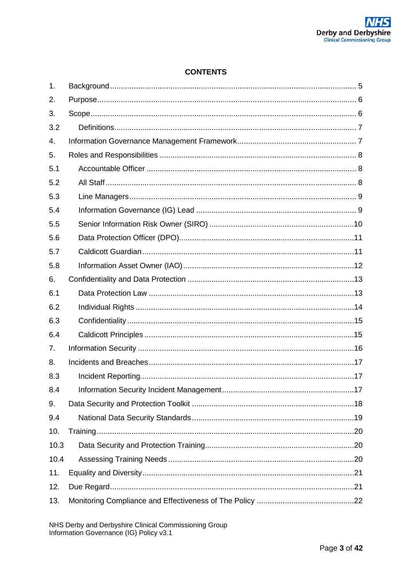## **CONTENTS**

| 1.   |  |
|------|--|
| 2.   |  |
| 3.   |  |
| 3.2  |  |
| 4.   |  |
| 5.   |  |
| 5.1  |  |
| 5.2  |  |
| 5.3  |  |
| 5.4  |  |
| 5.5  |  |
| 5.6  |  |
| 5.7  |  |
| 5.8  |  |
| 6.   |  |
| 6.1  |  |
| 6.2  |  |
| 6.3  |  |
| 6.4  |  |
| 7.   |  |
| 8.   |  |
| 8.3  |  |
| 8.4  |  |
| 9.   |  |
| 9.4  |  |
| 10.  |  |
| 10.3 |  |
| 10.4 |  |
| 11.  |  |
| 12.  |  |
| 13.  |  |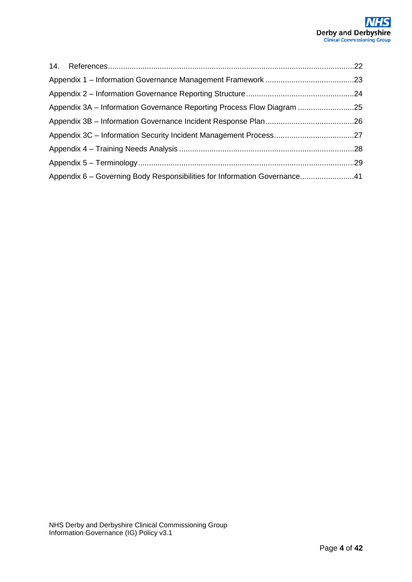| Appendix 3A - Information Governance Reporting Process Flow Diagram 25    |  |
|---------------------------------------------------------------------------|--|
|                                                                           |  |
|                                                                           |  |
|                                                                           |  |
|                                                                           |  |
| Appendix 6 – Governing Body Responsibilities for Information Governance41 |  |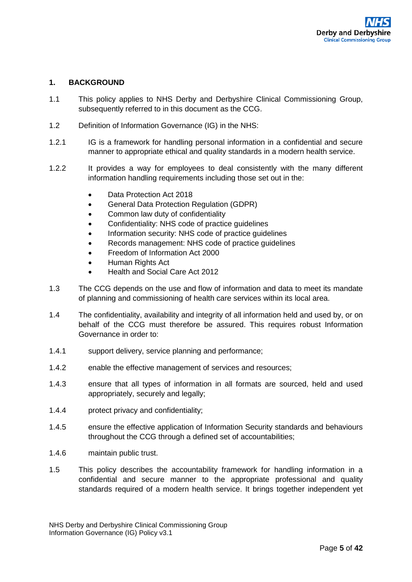## <span id="page-4-0"></span>**1. BACKGROUND**

- 1.1 This policy applies to NHS Derby and Derbyshire Clinical Commissioning Group, subsequently referred to in this document as the CCG.
- 1.2 Definition of Information Governance (IG) in the NHS:
- 1.2.1 IG is a framework for handling personal information in a confidential and secure manner to appropriate ethical and quality standards in a modern health service.
- 1.2.2 It provides a way for employees to deal consistently with the many different information handling requirements including those set out in the:
	- Data Protection Act 2018
	- General Data Protection Regulation (GDPR)
	- Common law duty of confidentiality
	- Confidentiality: NHS code of practice guidelines
	- Information security: NHS code of practice guidelines
	- Records management: NHS code of practice guidelines
	- Freedom of Information Act 2000
	- Human Rights Act
	- Health and Social Care Act 2012
- 1.3 The CCG depends on the use and flow of information and data to meet its mandate of planning and commissioning of health care services within its local area.
- 1.4 The confidentiality, availability and integrity of all information held and used by, or on behalf of the CCG must therefore be assured. This requires robust Information Governance in order to:
- 1.4.1 support delivery, service planning and performance;
- 1.4.2 enable the effective management of services and resources;
- 1.4.3 ensure that all types of information in all formats are sourced, held and used appropriately, securely and legally;
- 1.4.4 protect privacy and confidentiality;
- 1.4.5 ensure the effective application of Information Security standards and behaviours throughout the CCG through a defined set of accountabilities;
- 1.4.6 maintain public trust.
- 1.5 This policy describes the accountability framework for handling information in a confidential and secure manner to the appropriate professional and quality standards required of a modern health service. It brings together independent yet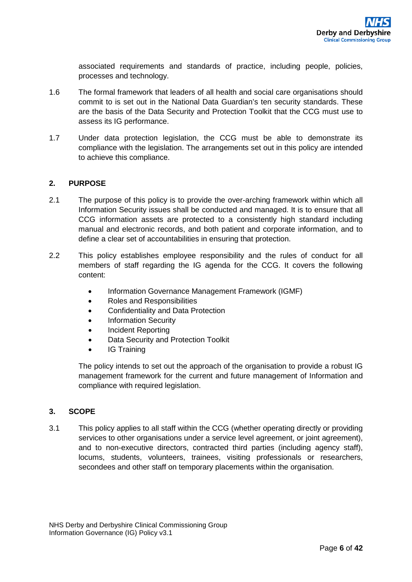associated requirements and standards of practice, including people, policies, processes and technology.

- 1.6 The formal framework that leaders of all health and social care organisations should commit to is set out in the National Data Guardian's ten security standards. These are the basis of the Data Security and Protection Toolkit that the CCG must use to assess its IG performance.
- 1.7 Under data protection legislation, the CCG must be able to demonstrate its compliance with the legislation. The arrangements set out in this policy are intended to achieve this compliance.

## <span id="page-5-0"></span>**2. PURPOSE**

- 2.1 The purpose of this policy is to provide the over-arching framework within which all Information Security issues shall be conducted and managed. It is to ensure that all CCG information assets are protected to a consistently high standard including manual and electronic records, and both patient and corporate information, and to define a clear set of accountabilities in ensuring that protection.
- 2.2 This policy establishes employee responsibility and the rules of conduct for all members of staff regarding the IG agenda for the CCG. It covers the following content:
	- Information Governance Management Framework (IGMF)
	- Roles and Responsibilities
	- Confidentiality and Data Protection
	- Information Security
	- Incident Reporting
	- Data Security and Protection Toolkit
	- IG Training

The policy intends to set out the approach of the organisation to provide a robust IG management framework for the current and future management of Information and compliance with required legislation.

## <span id="page-5-1"></span>**3. SCOPE**

3.1 This policy applies to all staff within the CCG (whether operating directly or providing services to other organisations under a service level agreement, or joint agreement), and to non-executive directors, contracted third parties (including agency staff), locums, students, volunteers, trainees, visiting professionals or researchers, secondees and other staff on temporary placements within the organisation.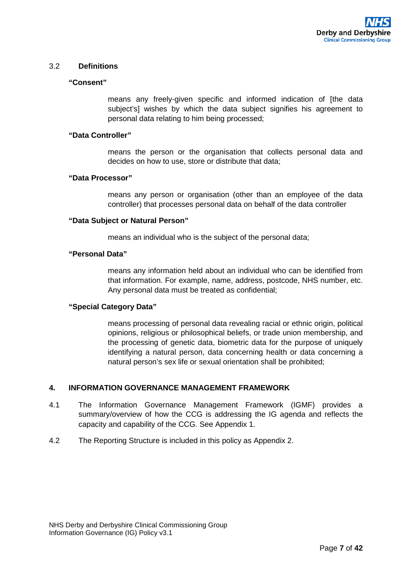## <span id="page-6-0"></span>3.2 **Definitions**

#### **"Consent"**

means any freely-given specific and informed indication of [the data subject's] wishes by which the data subject signifies his agreement to personal data relating to him being processed;

#### **"Data Controller"**

means the person or the organisation that collects personal data and decides on how to use, store or distribute that data;

## **"Data Processor"**

means any person or organisation (other than an employee of the data controller) that processes personal data on behalf of the data controller

#### **"Data Subject or Natural Person"**

means an individual who is the subject of the personal data;

#### **"Personal Data"**

means any information held about an individual who can be identified from that information. For example, name, address, postcode, NHS number, etc. Any personal data must be treated as confidential;

#### **"Special Category Data"**

means processing of personal data revealing racial or ethnic origin, political opinions, religious or philosophical beliefs, or trade union membership, and the processing of genetic data, biometric data for the purpose of uniquely identifying a natural person, data concerning health or data concerning a natural person's sex life or sexual orientation shall be prohibited;

## <span id="page-6-1"></span>**4. INFORMATION GOVERNANCE MANAGEMENT FRAMEWORK**

- 4.1 The Information Governance Management Framework (IGMF) provides a summary/overview of how the CCG is addressing the IG agenda and reflects the capacity and capability of the CCG. See Appendix 1.
- 4.2 The Reporting Structure is included in this policy as Appendix 2.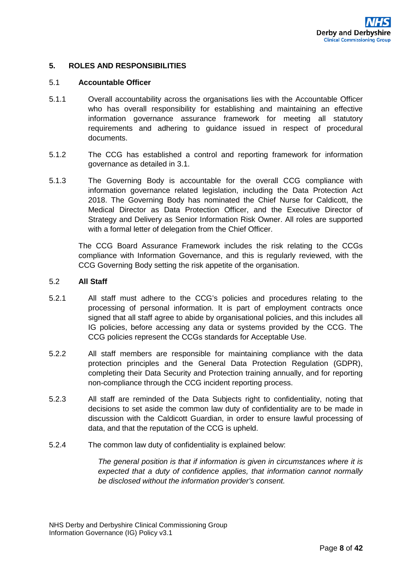#### <span id="page-7-0"></span>**5. ROLES AND RESPONSIBILITIES**

#### <span id="page-7-1"></span>5.1 **Accountable Officer**

- 5.1.1 Overall accountability across the organisations lies with the Accountable Officer who has overall responsibility for establishing and maintaining an effective information governance assurance framework for meeting all statutory requirements and adhering to guidance issued in respect of procedural documents.
- 5.1.2 The CCG has established a control and reporting framework for information governance as detailed in 3.1.
- 5.1.3 The Governing Body is accountable for the overall CCG compliance with information governance related legislation, including the Data Protection Act 2018. The Governing Body has nominated the Chief Nurse for Caldicott, the Medical Director as Data Protection Officer, and the Executive Director of Strategy and Delivery as Senior Information Risk Owner. All roles are supported with a formal letter of delegation from the Chief Officer.

The CCG Board Assurance Framework includes the risk relating to the CCGs compliance with Information Governance, and this is regularly reviewed, with the CCG Governing Body setting the risk appetite of the organisation.

#### <span id="page-7-2"></span>5.2 **All Staff**

- 5.2.1 All staff must adhere to the CCG's policies and procedures relating to the processing of personal information. It is part of employment contracts once signed that all staff agree to abide by organisational policies, and this includes all IG policies, before accessing any data or systems provided by the CCG. The CCG policies represent the CCGs standards for Acceptable Use.
- 5.2.2 All staff members are responsible for maintaining compliance with the data protection principles and the General Data Protection Regulation (GDPR), completing their Data Security and Protection training annually, and for reporting non-compliance through the CCG incident reporting process.
- 5.2.3 All staff are reminded of the Data Subjects right to confidentiality, noting that decisions to set aside the common law duty of confidentiality are to be made in discussion with the Caldicott Guardian, in order to ensure lawful processing of data, and that the reputation of the CCG is upheld.
- 5.2.4 The common law duty of confidentiality is explained below:

*The general position is that if information is given in circumstances where it is expected that a duty of confidence applies, that information cannot normally be disclosed without the information provider's consent.*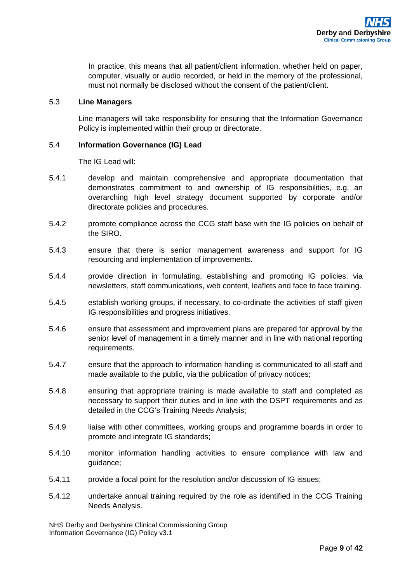In practice, this means that all patient/client information, whether held on paper, computer, visually or audio recorded, or held in the memory of the professional, must not normally be disclosed without the consent of the patient/client.

## <span id="page-8-0"></span>5.3 **Line Managers**

Line managers will take responsibility for ensuring that the Information Governance Policy is implemented within their group or directorate.

## <span id="page-8-1"></span>5.4 **Information Governance (IG) Lead**

The IG Lead will:

- 5.4.1 develop and maintain comprehensive and appropriate documentation that demonstrates commitment to and ownership of IG responsibilities, e.g. an overarching high level strategy document supported by corporate and/or directorate policies and procedures.
- 5.4.2 promote compliance across the CCG staff base with the IG policies on behalf of the SIRO.
- 5.4.3 ensure that there is senior management awareness and support for IG resourcing and implementation of improvements.
- 5.4.4 provide direction in formulating, establishing and promoting IG policies, via newsletters, staff communications, web content, leaflets and face to face training.
- 5.4.5 establish working groups, if necessary, to co-ordinate the activities of staff given IG responsibilities and progress initiatives.
- 5.4.6 ensure that assessment and improvement plans are prepared for approval by the senior level of management in a timely manner and in line with national reporting requirements.
- 5.4.7 ensure that the approach to information handling is communicated to all staff and made available to the public, via the publication of privacy notices;
- 5.4.8 ensuring that appropriate training is made available to staff and completed as necessary to support their duties and in line with the DSPT requirements and as detailed in the CCG's Training Needs Analysis;
- 5.4.9 liaise with other committees, working groups and programme boards in order to promote and integrate IG standards;
- 5.4.10 monitor information handling activities to ensure compliance with law and guidance;
- 5.4.11 provide a focal point for the resolution and/or discussion of IG issues;
- 5.4.12 undertake annual training required by the role as identified in the CCG Training Needs Analysis.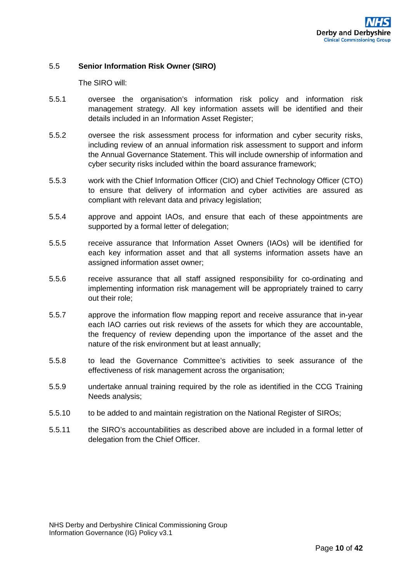## <span id="page-9-0"></span>5.5 **Senior Information Risk Owner (SIRO)**

The SIRO will:

- 5.5.1 oversee the organisation's information risk policy and information risk management strategy. All key information assets will be identified and their details included in an Information Asset Register;
- 5.5.2 oversee the risk assessment process for information and cyber security risks, including review of an annual information risk assessment to support and inform the Annual Governance Statement. This will include ownership of information and cyber security risks included within the board assurance framework;
- 5.5.3 work with the Chief Information Officer (CIO) and Chief Technology Officer (CTO) to ensure that delivery of information and cyber activities are assured as compliant with relevant data and privacy legislation;
- 5.5.4 approve and appoint IAOs, and ensure that each of these appointments are supported by a formal letter of delegation;
- 5.5.5 receive assurance that Information Asset Owners (IAOs) will be identified for each key information asset and that all systems information assets have an assigned information asset owner;
- 5.5.6 receive assurance that all staff assigned responsibility for co-ordinating and implementing information risk management will be appropriately trained to carry out their role;
- 5.5.7 approve the information flow mapping report and receive assurance that in-year each IAO carries out risk reviews of the assets for which they are accountable, the frequency of review depending upon the importance of the asset and the nature of the risk environment but at least annually;
- 5.5.8 to lead the Governance Committee's activities to seek assurance of the effectiveness of risk management across the organisation;
- 5.5.9 undertake annual training required by the role as identified in the CCG Training Needs analysis;
- 5.5.10 to be added to and maintain registration on the National Register of SIROs;
- 5.5.11 the SIRO's accountabilities as described above are included in a formal letter of delegation from the Chief Officer.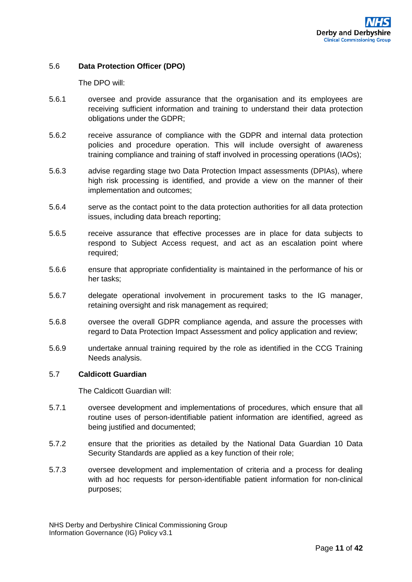## <span id="page-10-0"></span>5.6 **Data Protection Officer (DPO)**

The DPO will:

- 5.6.1 oversee and provide assurance that the organisation and its employees are receiving sufficient information and training to understand their data protection obligations under the GDPR;
- 5.6.2 receive assurance of compliance with the GDPR and internal data protection policies and procedure operation. This will include oversight of awareness training compliance and training of staff involved in processing operations (IAOs);
- 5.6.3 advise regarding stage two Data Protection Impact assessments (DPIAs), where high risk processing is identified, and provide a view on the manner of their implementation and outcomes;
- 5.6.4 serve as the contact point to the data protection authorities for all data protection issues, including data breach reporting;
- 5.6.5 receive assurance that effective processes are in place for data subjects to respond to Subject Access request, and act as an escalation point where required;
- 5.6.6 ensure that appropriate confidentiality is maintained in the performance of his or her tasks;
- 5.6.7 delegate operational involvement in procurement tasks to the IG manager, retaining oversight and risk management as required;
- 5.6.8 oversee the overall GDPR compliance agenda, and assure the processes with regard to Data Protection Impact Assessment and policy application and review;
- 5.6.9 undertake annual training required by the role as identified in the CCG Training Needs analysis.

#### <span id="page-10-1"></span>5.7 **Caldicott Guardian**

The Caldicott Guardian will:

- 5.7.1 oversee development and implementations of procedures, which ensure that all routine uses of person-identifiable patient information are identified, agreed as being justified and documented;
- 5.7.2 ensure that the priorities as detailed by the National Data Guardian 10 Data Security Standards are applied as a key function of their role;
- 5.7.3 oversee development and implementation of criteria and a process for dealing with ad hoc requests for person-identifiable patient information for non-clinical purposes;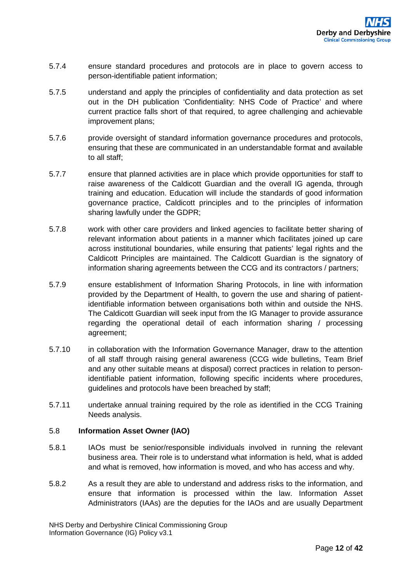- 5.7.4 ensure standard procedures and protocols are in place to govern access to person-identifiable patient information;
- 5.7.5 understand and apply the principles of confidentiality and data protection as set out in the DH publication 'Confidentiality: NHS Code of Practice' and where current practice falls short of that required, to agree challenging and achievable improvement plans;
- 5.7.6 provide oversight of standard information governance procedures and protocols, ensuring that these are communicated in an understandable format and available to all staff;
- 5.7.7 ensure that planned activities are in place which provide opportunities for staff to raise awareness of the Caldicott Guardian and the overall IG agenda, through training and education. Education will include the standards of good information governance practice, Caldicott principles and to the principles of information sharing lawfully under the GDPR;
- 5.7.8 work with other care providers and linked agencies to facilitate better sharing of relevant information about patients in a manner which facilitates joined up care across institutional boundaries, while ensuring that patients' legal rights and the Caldicott Principles are maintained. The Caldicott Guardian is the signatory of information sharing agreements between the CCG and its contractors / partners;
- 5.7.9 ensure establishment of Information Sharing Protocols, in line with information provided by the Department of Health, to govern the use and sharing of patientidentifiable information between organisations both within and outside the NHS. The Caldicott Guardian will seek input from the IG Manager to provide assurance regarding the operational detail of each information sharing / processing agreement;
- 5.7.10 in collaboration with the Information Governance Manager, draw to the attention of all staff through raising general awareness (CCG wide bulletins, Team Brief and any other suitable means at disposal) correct practices in relation to personidentifiable patient information, following specific incidents where procedures, guidelines and protocols have been breached by staff;
- 5.7.11 undertake annual training required by the role as identified in the CCG Training Needs analysis.

## <span id="page-11-0"></span>5.8 **Information Asset Owner (IAO)**

- 5.8.1 IAOs must be senior/responsible individuals involved in running the relevant business area. Their role is to understand what information is held, what is added and what is removed, how information is moved, and who has access and why.
- 5.8.2 As a result they are able to understand and address risks to the information, and ensure that information is processed within the law. Information Asset Administrators (IAAs) are the deputies for the IAOs and are usually Department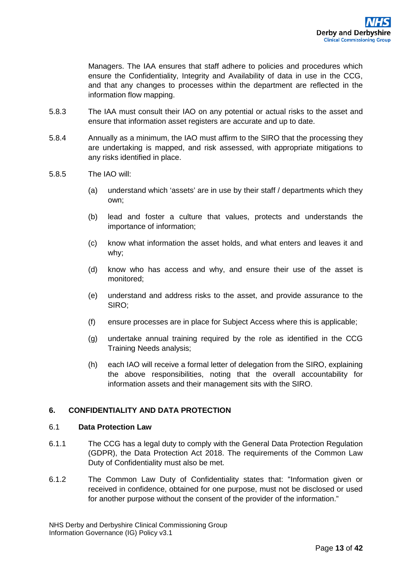Managers. The IAA ensures that staff adhere to policies and procedures which ensure the Confidentiality, Integrity and Availability of data in use in the CCG, and that any changes to processes within the department are reflected in the information flow mapping.

- 5.8.3 The IAA must consult their IAO on any potential or actual risks to the asset and ensure that information asset registers are accurate and up to date.
- 5.8.4 Annually as a minimum, the IAO must affirm to the SIRO that the processing they are undertaking is mapped, and risk assessed, with appropriate mitigations to any risks identified in place.
- 5.8.5 The IAO will:
	- (a) understand which 'assets' are in use by their staff / departments which they own;
	- (b) lead and foster a culture that values, protects and understands the importance of information;
	- (c) know what information the asset holds, and what enters and leaves it and why;
	- (d) know who has access and why, and ensure their use of the asset is monitored;
	- (e) understand and address risks to the asset, and provide assurance to the SIRO;
	- (f) ensure processes are in place for Subject Access where this is applicable;
	- (g) undertake annual training required by the role as identified in the CCG Training Needs analysis;
	- (h) each IAO will receive a formal letter of delegation from the SIRO, explaining the above responsibilities, noting that the overall accountability for information assets and their management sits with the SIRO.

## <span id="page-12-1"></span><span id="page-12-0"></span>**6. CONFIDENTIALITY AND DATA PROTECTION**

#### 6.1 **Data Protection Law**

- 6.1.1 The CCG has a legal duty to comply with the General Data Protection Regulation (GDPR), the Data Protection Act 2018. The requirements of the Common Law Duty of Confidentiality must also be met.
- 6.1.2 The Common Law Duty of Confidentiality states that: "Information given or received in confidence, obtained for one purpose, must not be disclosed or used for another purpose without the consent of the provider of the information."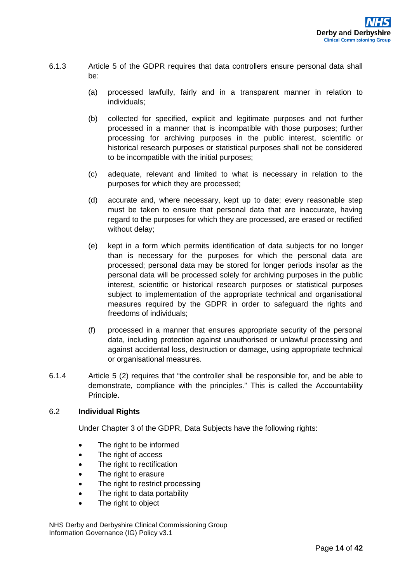- 6.1.3 Article 5 of the GDPR requires that data controllers ensure personal data shall be:
	- (a) processed lawfully, fairly and in a transparent manner in relation to individuals;
	- (b) collected for specified, explicit and legitimate purposes and not further processed in a manner that is incompatible with those purposes; further processing for archiving purposes in the public interest, scientific or historical research purposes or statistical purposes shall not be considered to be incompatible with the initial purposes;
	- (c) adequate, relevant and limited to what is necessary in relation to the purposes for which they are processed;
	- (d) accurate and, where necessary, kept up to date; every reasonable step must be taken to ensure that personal data that are inaccurate, having regard to the purposes for which they are processed, are erased or rectified without delay;
	- (e) kept in a form which permits identification of data subjects for no longer than is necessary for the purposes for which the personal data are processed; personal data may be stored for longer periods insofar as the personal data will be processed solely for archiving purposes in the public interest, scientific or historical research purposes or statistical purposes subject to implementation of the appropriate technical and organisational measures required by the GDPR in order to safeguard the rights and freedoms of individuals;
	- (f) processed in a manner that ensures appropriate security of the personal data, including protection against unauthorised or unlawful processing and against accidental loss, destruction or damage, using appropriate technical or organisational measures.
- 6.1.4 Article 5 (2) requires that "the controller shall be responsible for, and be able to demonstrate, compliance with the principles." This is called the Accountability Principle.

## <span id="page-13-0"></span>6.2 **Individual Rights**

Under Chapter 3 of the GDPR, Data Subjects have the following rights:

- The right to be informed
- The right of access
- The right to rectification
- The right to erasure
- The right to restrict processing
- The right to data portability
- The right to object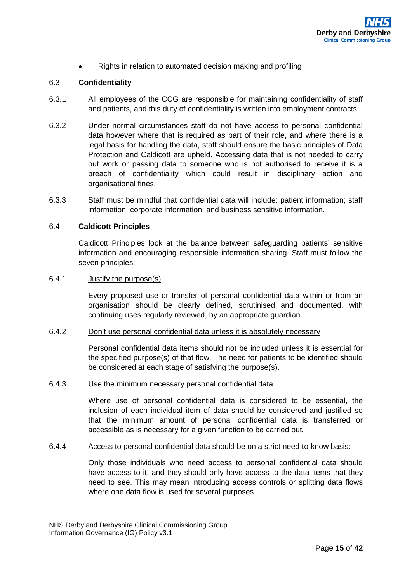• Rights in relation to automated decision making and profiling

#### <span id="page-14-0"></span>6.3 **Confidentiality**

- 6.3.1 All employees of the CCG are responsible for maintaining confidentiality of staff and patients, and this duty of confidentiality is written into employment contracts.
- 6.3.2 Under normal circumstances staff do not have access to personal confidential data however where that is required as part of their role, and where there is a legal basis for handling the data, staff should ensure the basic principles of Data Protection and Caldicott are upheld. Accessing data that is not needed to carry out work or passing data to someone who is not authorised to receive it is a breach of confidentiality which could result in disciplinary action and organisational fines.
- 6.3.3 Staff must be mindful that confidential data will include: patient information; staff information; corporate information; and business sensitive information.

#### <span id="page-14-1"></span>6.4 **Caldicott Principles**

Caldicott Principles look at the balance between safeguarding patients' sensitive information and encouraging responsible information sharing. Staff must follow the seven principles:

#### 6.4.1 Justify the purpose(s)

Every proposed use or transfer of personal confidential data within or from an organisation should be clearly defined, scrutinised and documented, with continuing uses regularly reviewed, by an appropriate guardian.

#### 6.4.2 Don't use personal confidential data unless it is absolutely necessary

Personal confidential data items should not be included unless it is essential for the specified purpose(s) of that flow. The need for patients to be identified should be considered at each stage of satisfying the purpose(s).

#### 6.4.3 Use the minimum necessary personal confidential data

Where use of personal confidential data is considered to be essential, the inclusion of each individual item of data should be considered and justified so that the minimum amount of personal confidential data is transferred or accessible as is necessary for a given function to be carried out.

#### 6.4.4 Access to personal confidential data should be on a strict need-to-know basis:

Only those individuals who need access to personal confidential data should have access to it, and they should only have access to the data items that they need to see. This may mean introducing access controls or splitting data flows where one data flow is used for several purposes.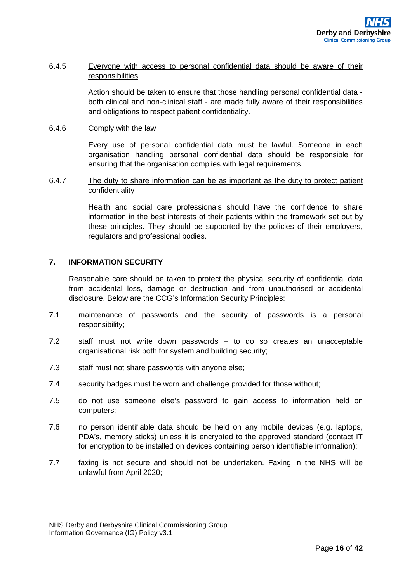## 6.4.5 Everyone with access to personal confidential data should be aware of their responsibilities

Action should be taken to ensure that those handling personal confidential data both clinical and non-clinical staff - are made fully aware of their responsibilities and obligations to respect patient confidentiality.

#### 6.4.6 Comply with the law

Every use of personal confidential data must be lawful. Someone in each organisation handling personal confidential data should be responsible for ensuring that the organisation complies with legal requirements.

## 6.4.7 The duty to share information can be as important as the duty to protect patient confidentiality

Health and social care professionals should have the confidence to share information in the best interests of their patients within the framework set out by these principles. They should be supported by the policies of their employers, regulators and professional bodies.

## <span id="page-15-0"></span>**7. INFORMATION SECURITY**

Reasonable care should be taken to protect the physical security of confidential data from accidental loss, damage or destruction and from unauthorised or accidental disclosure. Below are the CCG's Information Security Principles:

- 7.1 maintenance of passwords and the security of passwords is a personal responsibility;
- 7.2 staff must not write down passwords to do so creates an unacceptable organisational risk both for system and building security;
- 7.3 staff must not share passwords with anyone else;
- 7.4 security badges must be worn and challenge provided for those without;
- 7.5 do not use someone else's password to gain access to information held on computers;
- 7.6 no person identifiable data should be held on any mobile devices (e.g. laptops, PDA's, memory sticks) unless it is encrypted to the approved standard (contact IT for encryption to be installed on devices containing person identifiable information);
- 7.7 faxing is not secure and should not be undertaken. Faxing in the NHS will be unlawful from April 2020;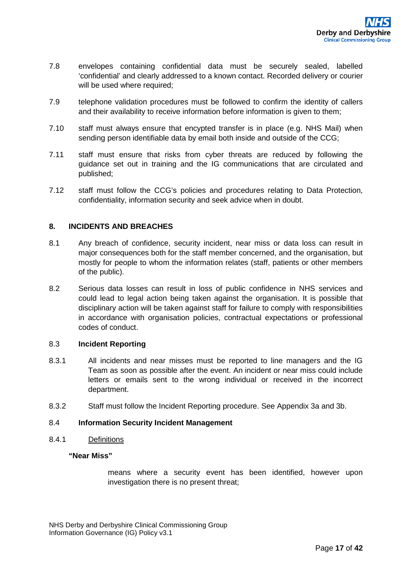- 7.8 envelopes containing confidential data must be securely sealed, labelled 'confidential' and clearly addressed to a known contact. Recorded delivery or courier will be used where required;
- 7.9 telephone validation procedures must be followed to confirm the identity of callers and their availability to receive information before information is given to them;
- 7.10 staff must always ensure that encypted transfer is in place (e.g. NHS Mail) when sending person identifiable data by email both inside and outside of the CCG;
- 7.11 staff must ensure that risks from cyber threats are reduced by following the guidance set out in training and the IG communications that are circulated and published;
- 7.12 staff must follow the CCG's policies and procedures relating to Data Protection, confidentiality, information security and seek advice when in doubt.

## <span id="page-16-0"></span>**8. INCIDENTS AND BREACHES**

- 8.1 Any breach of confidence, security incident, near miss or data loss can result in major consequences both for the staff member concerned, and the organisation, but mostly for people to whom the information relates (staff, patients or other members of the public).
- 8.2 Serious data losses can result in loss of public confidence in NHS services and could lead to legal action being taken against the organisation. It is possible that disciplinary action will be taken against staff for failure to comply with responsibilities in accordance with organisation policies, contractual expectations or professional codes of conduct.

#### <span id="page-16-1"></span>8.3 **Incident Reporting**

- 8.3.1 All incidents and near misses must be reported to line managers and the IG Team as soon as possible after the event. An incident or near miss could include letters or emails sent to the wrong individual or received in the incorrect department.
- 8.3.2 Staff must follow the Incident Reporting procedure. See Appendix 3a and 3b.

## <span id="page-16-2"></span>8.4 **Information Security Incident Management**

#### 8.4.1 Definitions

#### **"Near Miss"**

means where a security event has been identified, however upon investigation there is no present threat;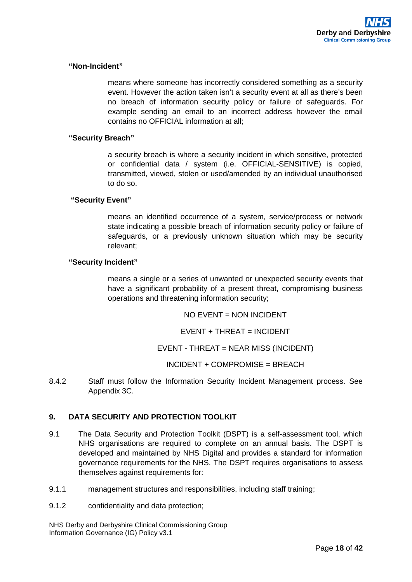#### **"Non-Incident"**

means where someone has incorrectly considered something as a security event. However the action taken isn't a security event at all as there's been no breach of information security policy or failure of safeguards. For example sending an email to an incorrect address however the email contains no OFFICIAL information at all;

#### **"Security Breach"**

a security breach is where a security incident in which sensitive, protected or confidential data / system (i.e. OFFICIAL-SENSITIVE) is copied, transmitted, viewed, stolen or used/amended by an individual unauthorised to do so.

#### **"Security Event"**

means an identified occurrence of a system, service/process or network state indicating a possible breach of information security policy or failure of safeguards, or a previously unknown situation which may be security relevant;

#### **"Security Incident"**

means a single or a series of unwanted or unexpected security events that have a significant probability of a present threat, compromising business operations and threatening information security;

 $NO$   $FV$ FNT  $=$   $NON$   $INCID$   $FNT$ 

EVENT + THREAT = INCIDENT

EVENT - THREAT = NEAR MISS (INCIDENT)

INCIDENT + COMPROMISE = BREACH

<span id="page-17-0"></span>8.4.2 Staff must follow the Information Security Incident Management process. See Appendix 3C.

## **9. DATA SECURITY AND PROTECTION TOOLKIT**

- 9.1 The Data Security and Protection Toolkit (DSPT) is a self-assessment tool, which NHS organisations are required to complete on an annual basis. The DSPT is developed and maintained by NHS Digital and provides a standard for information governance requirements for the NHS. The DSPT requires organisations to assess themselves against requirements for:
- 9.1.1 management structures and responsibilities, including staff training;
- 9.1.2 confidentiality and data protection;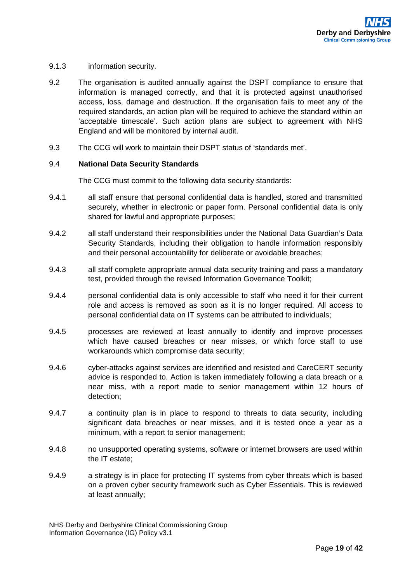- 9.1.3 information security.
- 9.2 The organisation is audited annually against the DSPT compliance to ensure that information is managed correctly, and that it is protected against unauthorised access, loss, damage and destruction. If the organisation fails to meet any of the required standards, an action plan will be required to achieve the standard within an 'acceptable timescale'. Such action plans are subject to agreement with NHS England and will be monitored by internal audit.
- 9.3 The CCG will work to maintain their DSPT status of 'standards met'.

#### <span id="page-18-0"></span>9.4 **National Data Security Standards**

The CCG must commit to the following data security standards:

- 9.4.1 all staff ensure that personal confidential data is handled, stored and transmitted securely, whether in electronic or paper form. Personal confidential data is only shared for lawful and appropriate purposes;
- 9.4.2 all staff understand their responsibilities under the National Data Guardian's Data Security Standards, including their obligation to handle information responsibly and their personal accountability for deliberate or avoidable breaches;
- 9.4.3 all staff complete appropriate annual data security training and pass a mandatory test, provided through the revised Information Governance Toolkit;
- 9.4.4 personal confidential data is only accessible to staff who need it for their current role and access is removed as soon as it is no longer required. All access to personal confidential data on IT systems can be attributed to individuals;
- 9.4.5 processes are reviewed at least annually to identify and improve processes which have caused breaches or near misses, or which force staff to use workarounds which compromise data security;
- 9.4.6 cyber-attacks against services are identified and resisted and CareCERT security advice is responded to. Action is taken immediately following a data breach or a near miss, with a report made to senior management within 12 hours of detection;
- 9.4.7 a continuity plan is in place to respond to threats to data security, including significant data breaches or near misses, and it is tested once a year as a minimum, with a report to senior management;
- 9.4.8 no unsupported operating systems, software or internet browsers are used within the IT estate;
- 9.4.9 a strategy is in place for protecting IT systems from cyber threats which is based on a proven cyber security framework such as Cyber Essentials. This is reviewed at least annually;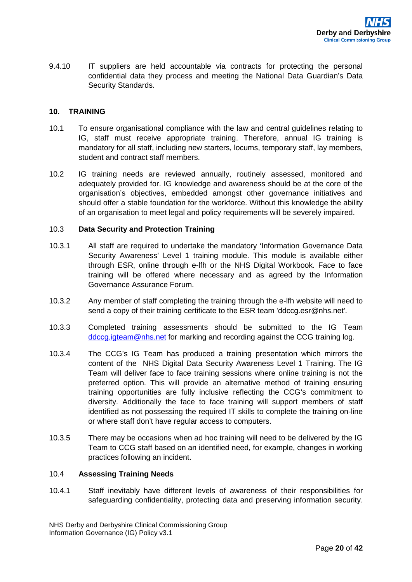9.4.10 IT suppliers are held accountable via contracts for protecting the personal confidential data they process and meeting the National Data Guardian's Data Security Standards.

## <span id="page-19-0"></span>**10. TRAINING**

- 10.1 To ensure organisational compliance with the law and central guidelines relating to IG, staff must receive appropriate training. Therefore, annual IG training is mandatory for all staff, including new starters, locums, temporary staff, lay members, student and contract staff members.
- 10.2 IG training needs are reviewed annually, routinely assessed, monitored and adequately provided for. IG knowledge and awareness should be at the core of the organisation's objectives, embedded amongst other governance initiatives and should offer a stable foundation for the workforce. Without this knowledge the ability of an organisation to meet legal and policy requirements will be severely impaired.

#### <span id="page-19-1"></span>10.3 **Data Security and Protection Training**

- 10.3.1 All staff are required to undertake the mandatory 'Information Governance Data Security Awareness' Level 1 training module. This module is available either through ESR, online through e-lfh or the NHS Digital Workbook. Face to face training will be offered where necessary and as agreed by the Information Governance Assurance Forum.
- 10.3.2 Any member of staff completing the training through the e-lfh website will need to send a copy of their training certificate to the ESR team 'ddccg.esr@nhs.net'.
- 10.3.3 Completed training assessments should be submitted to the IG Team ddccg.jateam@nhs.net for marking and recording against the CCG training log.
- 10.3.4 The CCG's IG Team has produced a training presentation which mirrors the content of the NHS Digital Data Security Awareness Level 1 Training. The IG Team will deliver face to face training sessions where online training is not the preferred option. This will provide an alternative method of training ensuring training opportunities are fully inclusive reflecting the CCG's commitment to diversity. Additionally the face to face training will support members of staff identified as not possessing the required IT skills to complete the training on-line or where staff don't have regular access to computers.
- 10.3.5 There may be occasions when ad hoc training will need to be delivered by the IG Team to CCG staff based on an identified need, for example, changes in working practices following an incident.

#### <span id="page-19-2"></span>10.4 **Assessing Training Needs**

10.4.1 Staff inevitably have different levels of awareness of their responsibilities for safeguarding confidentiality, protecting data and preserving information security.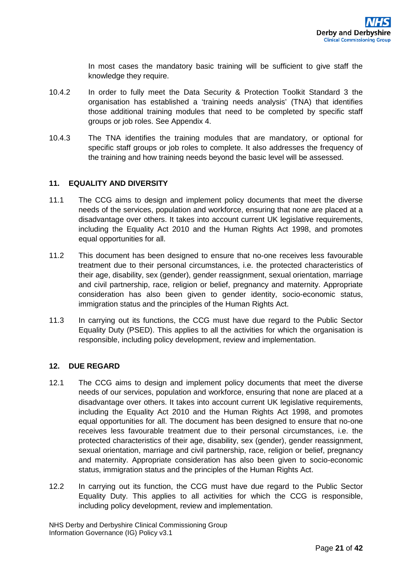In most cases the mandatory basic training will be sufficient to give staff the knowledge they require.

- 10.4.2 In order to fully meet the Data Security & Protection Toolkit Standard 3 the organisation has established a 'training needs analysis' (TNA) that identifies those additional training modules that need to be completed by specific staff groups or job roles. See Appendix 4.
- 10.4.3 The TNA identifies the training modules that are mandatory, or optional for specific staff groups or job roles to complete. It also addresses the frequency of the training and how training needs beyond the basic level will be assessed.

## <span id="page-20-0"></span>**11. EQUALITY AND DIVERSITY**

- 11.1 The CCG aims to design and implement policy documents that meet the diverse needs of the services, population and workforce, ensuring that none are placed at a disadvantage over others. It takes into account current UK legislative requirements, including the Equality Act 2010 and the Human Rights Act 1998, and promotes equal opportunities for all.
- 11.2 This document has been designed to ensure that no-one receives less favourable treatment due to their personal circumstances, i.e. the protected characteristics of their age, disability, sex (gender), gender reassignment, sexual orientation, marriage and civil partnership, race, religion or belief, pregnancy and maternity. Appropriate consideration has also been given to gender identity, socio-economic status, immigration status and the principles of the Human Rights Act.
- 11.3 In carrying out its functions, the CCG must have due regard to the Public Sector Equality Duty (PSED). This applies to all the activities for which the organisation is responsible, including policy development, review and implementation.

## <span id="page-20-1"></span>**12. DUE REGARD**

- 12.1 The CCG aims to design and implement policy documents that meet the diverse needs of our services, population and workforce, ensuring that none are placed at a disadvantage over others. It takes into account current UK legislative requirements, including the Equality Act 2010 and the Human Rights Act 1998, and promotes equal opportunities for all. The document has been designed to ensure that no-one receives less favourable treatment due to their personal circumstances, i.e. the protected characteristics of their age, disability, sex (gender), gender reassignment, sexual orientation, marriage and civil partnership, race, religion or belief, pregnancy and maternity. Appropriate consideration has also been given to socio-economic status, immigration status and the principles of the Human Rights Act.
- 12.2 In carrying out its function, the CCG must have due regard to the Public Sector Equality Duty. This applies to all activities for which the CCG is responsible, including policy development, review and implementation.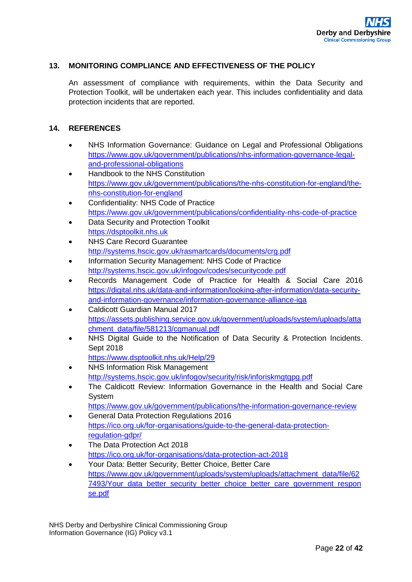## <span id="page-21-0"></span>**13. MONITORING COMPLIANCE AND EFFECTIVENESS OF THE POLICY**

An assessment of compliance with requirements, within the Data Security and Protection Toolkit, will be undertaken each year. This includes confidentiality and data protection incidents that are reported.

## <span id="page-21-1"></span>**14. REFERENCES**

- NHS Information Governance: Guidance on Legal and Professional Obligations [https://www.gov.uk/government/publications/nhs-information-governance-legal](https://www.gov.uk/government/publications/nhs-information-governance-legal-and-professional-obligations)[and-professional-obligations](https://www.gov.uk/government/publications/nhs-information-governance-legal-and-professional-obligations)
- Handbook to the NHS Constitution [https://www.gov.uk/government/publications/the-nhs-constitution-for-england/the](https://www.gov.uk/government/publications/the-nhs-constitution-for-england/the-nhs-constitution-for-england)[nhs-constitution-for-england](https://www.gov.uk/government/publications/the-nhs-constitution-for-england/the-nhs-constitution-for-england)
- Confidentiality: NHS Code of Practice <https://www.gov.uk/government/publications/confidentiality-nhs-code-of-practice>
- Data Security and Protection Toolkit [https://dsptoolkit.nhs.uk](https://dsptoolkit.nhs.uk/)
- NHS Care Record Guarantee <http://systems.hscic.gov.uk/rasmartcards/documents/crg.pdf>
- Information Security Management: NHS Code of Practice <http://systems.hscic.gov.uk/infogov/codes/securitycode.pdf>
- Records Management Code of Practice for Health & Social Care 2016 [https://digital.nhs.uk/data-and-information/looking-after-information/data-security](https://digital.nhs.uk/data-and-information/looking-after-information/data-security-and-information-governance/information-governance-alliance-iga)[and-information-governance/information-governance-alliance-iga](https://digital.nhs.uk/data-and-information/looking-after-information/data-security-and-information-governance/information-governance-alliance-iga)
- Caldicott Guardian Manual 2017 [https://assets.publishing.service.gov.uk/government/uploads/system/uploads/atta](https://assets.publishing.service.gov.uk/government/uploads/system/uploads/attachment_data/file/581213/cgmanual.pdf) [chment\\_data/file/581213/cgmanual.pdf](https://assets.publishing.service.gov.uk/government/uploads/system/uploads/attachment_data/file/581213/cgmanual.pdf)
- NHS Digital Guide to the Notification of Data Security & Protection Incidents. Sept 2018 <https://www.dsptoolkit.nhs.uk/Help/29>
- NHS Information Risk Management <http://systems.hscic.gov.uk/infogov/security/risk/inforiskmgtgpg.pdf>
- The Caldicott Review: Information Governance in the Health and Social Care System
	- <https://www.gov.uk/government/publications/the-information-governance-review>
- General Data Protection Regulations 2016 [https://ico.org.uk/for-organisations/guide-to-the-general-data-protection](https://ico.org.uk/for-organisations/guide-to-the-general-data-protection-regulation-gdpr/)[regulation-gdpr/](https://ico.org.uk/for-organisations/guide-to-the-general-data-protection-regulation-gdpr/)
- The Data Protection Act 2018 <https://ico.org.uk/for-organisations/data-protection-act-2018>
- Your Data: Better Security, Better Choice, Better Care [https://www.gov.uk/government/uploads/system/uploads/attachment\\_data/file/62](https://www.gov.uk/government/uploads/system/uploads/attachment_data/file/627493/Your_data_better_security_better_choice_better_care_government_response.pdf) [7493/Your\\_data\\_better\\_security\\_better\\_choice\\_better\\_care\\_government\\_respon](https://www.gov.uk/government/uploads/system/uploads/attachment_data/file/627493/Your_data_better_security_better_choice_better_care_government_response.pdf) [se.pdf](https://www.gov.uk/government/uploads/system/uploads/attachment_data/file/627493/Your_data_better_security_better_choice_better_care_government_response.pdf)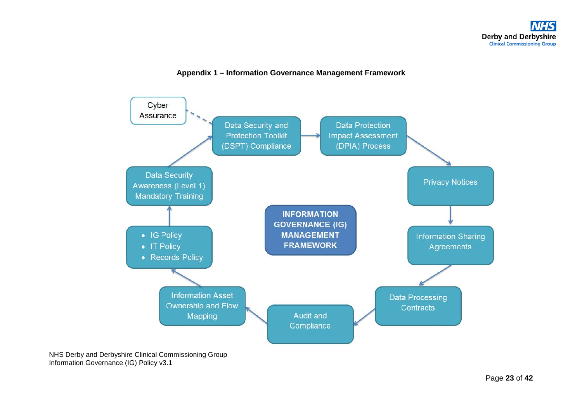## **Appendix 1 – Information Governance Management Framework**

<span id="page-22-0"></span>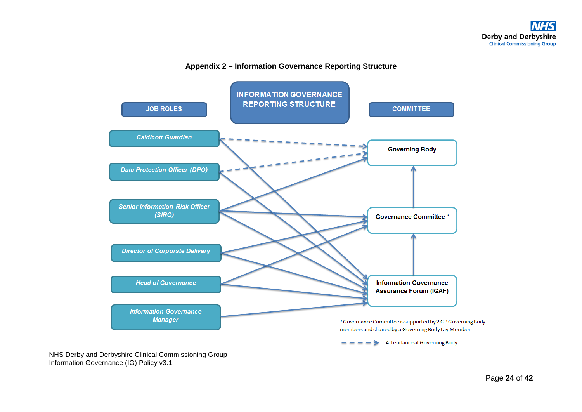## **Appendix 2 – Information Governance Reporting Structure**

<span id="page-23-0"></span>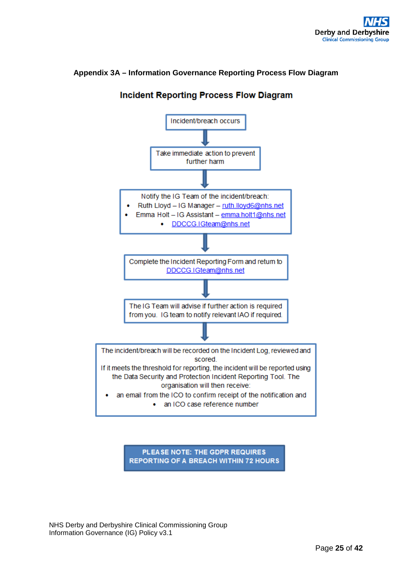## <span id="page-24-0"></span>**Appendix 3A – Information Governance Reporting Process Flow Diagram**



# **Incident Reporting Process Flow Diagram**

PLEASE NOTE: THE GDPR REQUIRES **REPORTING OF A BREACH WITHIN 72 HOURS**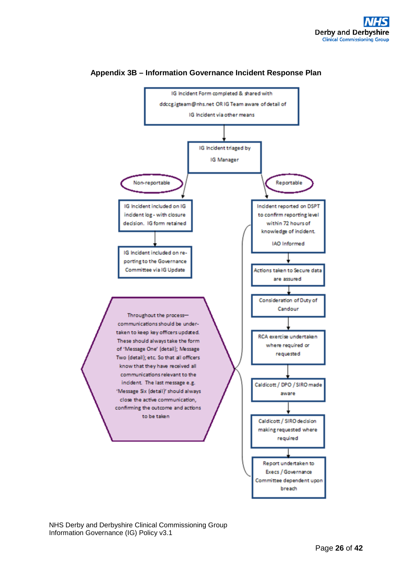<span id="page-25-0"></span>

#### **Appendix 3B – Information Governance Incident Response Plan**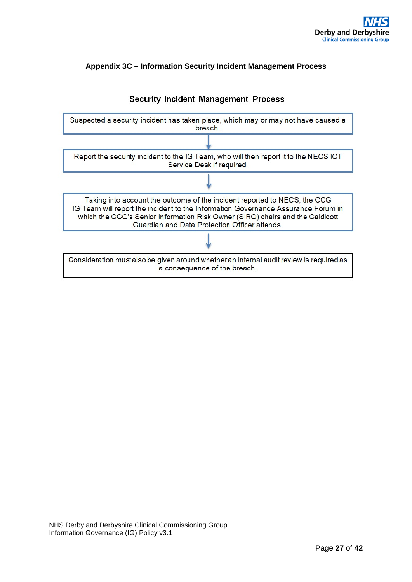## <span id="page-26-0"></span>**Appendix 3C – Information Security Incident Management Process**



## **Security Incident Management Process**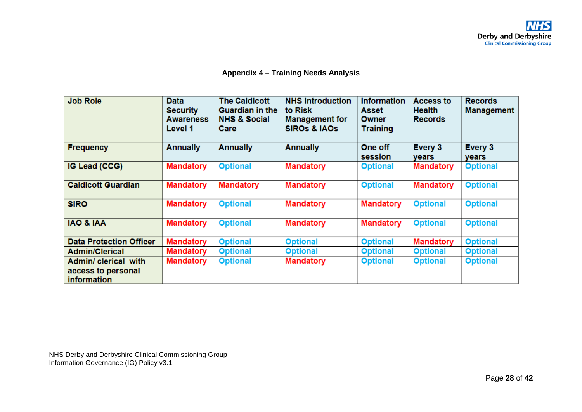## **Appendix 4 – Training Needs Analysis**

<span id="page-27-0"></span>

| <b>Job Role</b>                                                  | <b>Data</b><br><b>Security</b><br><b>Awareness</b><br>Level 1 | <b>The Caldicott</b><br><b>Guardian in the</b><br><b>NHS &amp; Social</b><br>Care | <b>NHS Introduction</b><br>to Risk<br><b>Management for</b><br><b>SIROs &amp; IAOS</b> | <b>Information</b><br>Asset<br><b>Owner</b><br><b>Training</b> | Access to<br><b>Health</b><br><b>Records</b> | <b>Records</b><br><b>Management</b> |
|------------------------------------------------------------------|---------------------------------------------------------------|-----------------------------------------------------------------------------------|----------------------------------------------------------------------------------------|----------------------------------------------------------------|----------------------------------------------|-------------------------------------|
| <b>Frequency</b>                                                 | <b>Annually</b>                                               | <b>Annually</b>                                                                   | <b>Annually</b>                                                                        | One off<br>session                                             | Every 3<br>years                             | Every 3<br>years                    |
| IG Lead (CCG)                                                    | <b>Mandatory</b>                                              | <b>Optional</b>                                                                   | <b>Mandatory</b>                                                                       | <b>Optional</b>                                                | <b>Mandatory</b>                             | <b>Optional</b>                     |
| <b>Caldicott Guardian</b>                                        | <b>Mandatory</b>                                              | <b>Mandatory</b>                                                                  | <b>Mandatory</b>                                                                       | <b>Optional</b>                                                | <b>Mandatory</b>                             | <b>Optional</b>                     |
| <b>SIRO</b>                                                      | <b>Mandatory</b>                                              | <b>Optional</b>                                                                   | <b>Mandatory</b>                                                                       | <b>Mandatory</b>                                               | <b>Optional</b>                              | <b>Optional</b>                     |
| <b>IAO &amp; IAA</b>                                             | <b>Mandatory</b>                                              | <b>Optional</b>                                                                   | <b>Mandatory</b>                                                                       | <b>Mandatory</b>                                               | <b>Optional</b>                              | <b>Optional</b>                     |
| <b>Data Protection Officer</b>                                   | <b>Mandatory</b>                                              | <b>Optional</b>                                                                   | <b>Optional</b>                                                                        | <b>Optional</b>                                                | <b>Mandatory</b>                             | <b>Optional</b>                     |
| <b>Admin/Clerical</b>                                            | <b>Mandatory</b>                                              | <b>Optional</b>                                                                   | <b>Optional</b>                                                                        | <b>Optional</b>                                                | <b>Optional</b>                              | <b>Optional</b>                     |
| Admin/ clerical with<br>access to personal<br><b>information</b> | <b>Mandatory</b>                                              | <b>Optional</b>                                                                   | <b>Mandatory</b>                                                                       | <b>Optional</b>                                                | <b>Optional</b>                              | <b>Optional</b>                     |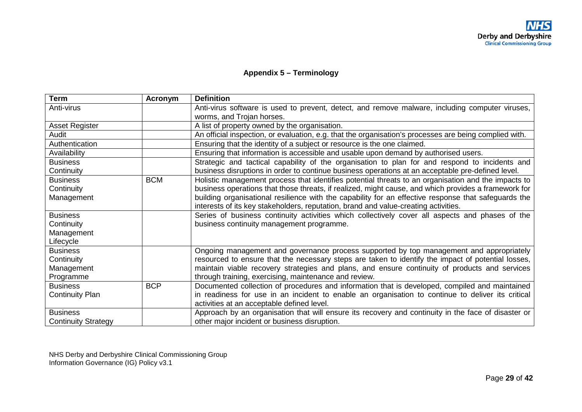## **Appendix 5 – Terminology**

<span id="page-28-0"></span>

| <b>Term</b>                | Acronym    | <b>Definition</b>                                                                                      |
|----------------------------|------------|--------------------------------------------------------------------------------------------------------|
| Anti-virus                 |            | Anti-virus software is used to prevent, detect, and remove malware, including computer viruses,        |
|                            |            | worms, and Trojan horses.                                                                              |
| <b>Asset Register</b>      |            | A list of property owned by the organisation.                                                          |
| Audit                      |            | An official inspection, or evaluation, e.g. that the organisation's processes are being complied with. |
| Authentication             |            | Ensuring that the identity of a subject or resource is the one claimed.                                |
| Availability               |            | Ensuring that information is accessible and usable upon demand by authorised users.                    |
| <b>Business</b>            |            | Strategic and tactical capability of the organisation to plan for and respond to incidents and         |
| Continuity                 |            | business disruptions in order to continue business operations at an acceptable pre-defined level.      |
| <b>Business</b>            | <b>BCM</b> | Holistic management process that identifies potential threats to an organisation and the impacts to    |
| Continuity                 |            | business operations that those threats, if realized, might cause, and which provides a framework for   |
| Management                 |            | building organisational resilience with the capability for an effective response that safeguards the   |
|                            |            | interests of its key stakeholders, reputation, brand and value-creating activities.                    |
| <b>Business</b>            |            | Series of business continuity activities which collectively cover all aspects and phases of the        |
| Continuity                 |            | business continuity management programme.                                                              |
| Management                 |            |                                                                                                        |
| Lifecycle                  |            |                                                                                                        |
| <b>Business</b>            |            | Ongoing management and governance process supported by top management and appropriately                |
| Continuity                 |            | resourced to ensure that the necessary steps are taken to identify the impact of potential losses,     |
| Management                 |            | maintain viable recovery strategies and plans, and ensure continuity of products and services          |
| Programme                  |            | through training, exercising, maintenance and review.                                                  |
| <b>Business</b>            | <b>BCP</b> | Documented collection of procedures and information that is developed, compiled and maintained         |
| <b>Continuity Plan</b>     |            | in readiness for use in an incident to enable an organisation to continue to deliver its critical      |
|                            |            | activities at an acceptable defined level.                                                             |
| <b>Business</b>            |            | Approach by an organisation that will ensure its recovery and continuity in the face of disaster or    |
| <b>Continuity Strategy</b> |            | other major incident or business disruption.                                                           |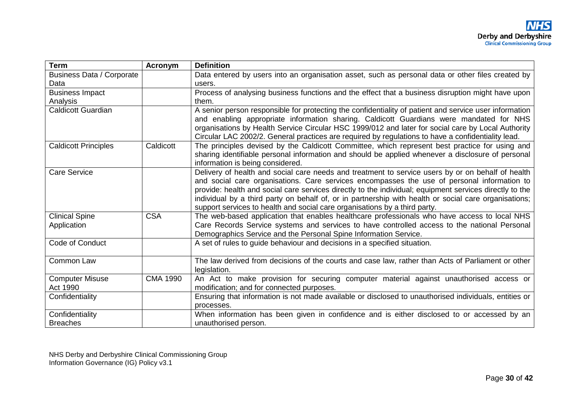| <b>Term</b>                      | <b>Acronym</b>  | <b>Definition</b>                                                                                       |
|----------------------------------|-----------------|---------------------------------------------------------------------------------------------------------|
| <b>Business Data / Corporate</b> |                 | Data entered by users into an organisation asset, such as personal data or other files created by       |
| Data                             |                 | users.                                                                                                  |
| <b>Business Impact</b>           |                 | Process of analysing business functions and the effect that a business disruption might have upon       |
| Analysis                         |                 | them.                                                                                                   |
| <b>Caldicott Guardian</b>        |                 | A senior person responsible for protecting the confidentiality of patient and service user information  |
|                                  |                 | and enabling appropriate information sharing. Caldicott Guardians were mandated for NHS                 |
|                                  |                 | organisations by Health Service Circular HSC 1999/012 and later for social care by Local Authority      |
|                                  |                 | Circular LAC 2002/2. General practices are required by regulations to have a confidentiality lead.      |
| <b>Caldicott Principles</b>      | Caldicott       | The principles devised by the Caldicott Committee, which represent best practice for using and          |
|                                  |                 | sharing identifiable personal information and should be applied whenever a disclosure of personal       |
|                                  |                 | information is being considered.                                                                        |
| <b>Care Service</b>              |                 | Delivery of health and social care needs and treatment to service users by or on behalf of health       |
|                                  |                 | and social care organisations. Care services encompasses the use of personal information to             |
|                                  |                 | provide: health and social care services directly to the individual; equipment services directly to the |
|                                  |                 | individual by a third party on behalf of, or in partnership with health or social care organisations;   |
|                                  |                 | support services to health and social care organisations by a third party.                              |
| <b>Clinical Spine</b>            | <b>CSA</b>      | The web-based application that enables healthcare professionals who have access to local NHS            |
| Application                      |                 | Care Records Service systems and services to have controlled access to the national Personal            |
|                                  |                 | Demographics Service and the Personal Spine Information Service.                                        |
| Code of Conduct                  |                 | A set of rules to guide behaviour and decisions in a specified situation.                               |
|                                  |                 |                                                                                                         |
| Common Law                       |                 | The law derived from decisions of the courts and case law, rather than Acts of Parliament or other      |
|                                  |                 | legislation.                                                                                            |
| <b>Computer Misuse</b>           | <b>CMA 1990</b> | An Act to make provision for securing computer material against unauthorised access or                  |
| Act 1990                         |                 | modification; and for connected purposes.                                                               |
| Confidentiality                  |                 | Ensuring that information is not made available or disclosed to unauthorised individuals, entities or   |
|                                  |                 | processes.                                                                                              |
| Confidentiality                  |                 | When information has been given in confidence and is either disclosed to or accessed by an              |
| <b>Breaches</b>                  |                 | unauthorised person.                                                                                    |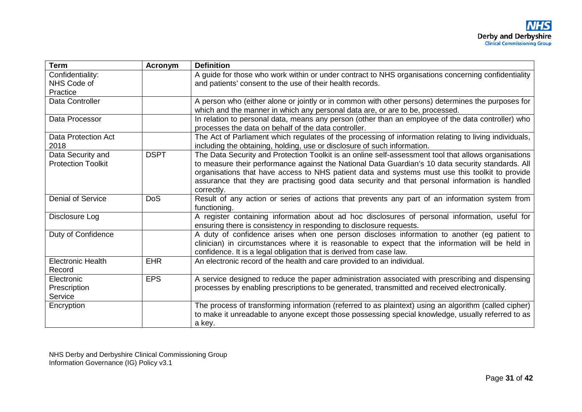| <b>Term</b>                                    | <b>Acronym</b> | <b>Definition</b>                                                                                                                                                                                                                                                       |
|------------------------------------------------|----------------|-------------------------------------------------------------------------------------------------------------------------------------------------------------------------------------------------------------------------------------------------------------------------|
| Confidentiality:                               |                | A guide for those who work within or under contract to NHS organisations concerning confidentiality                                                                                                                                                                     |
| NHS Code of                                    |                | and patients' consent to the use of their health records.                                                                                                                                                                                                               |
| Practice                                       |                |                                                                                                                                                                                                                                                                         |
| Data Controller                                |                | A person who (either alone or jointly or in common with other persons) determines the purposes for<br>which and the manner in which any personal data are, or are to be, processed.                                                                                     |
| Data Processor                                 |                | In relation to personal data, means any person (other than an employee of the data controller) who<br>processes the data on behalf of the data controller.                                                                                                              |
| <b>Data Protection Act</b><br>2018             |                | The Act of Parliament which regulates of the processing of information relating to living individuals,<br>including the obtaining, holding, use or disclosure of such information.                                                                                      |
| Data Security and<br><b>Protection Toolkit</b> | <b>DSPT</b>    | The Data Security and Protection Toolkit is an online self-assessment tool that allows organisations<br>to measure their performance against the National Data Guardian's 10 data security standards. All                                                               |
|                                                |                | organisations that have access to NHS patient data and systems must use this toolkit to provide<br>assurance that they are practising good data security and that personal information is handled<br>correctly.                                                         |
| <b>Denial of Service</b>                       | <b>DoS</b>     | Result of any action or series of actions that prevents any part of an information system from<br>functioning.                                                                                                                                                          |
| Disclosure Log                                 |                | A register containing information about ad hoc disclosures of personal information, useful for<br>ensuring there is consistency in responding to disclosure requests.                                                                                                   |
| Duty of Confidence                             |                | A duty of confidence arises when one person discloses information to another (eg patient to<br>clinician) in circumstances where it is reasonable to expect that the information will be held in<br>confidence. It is a legal obligation that is derived from case law. |
| <b>Electronic Health</b><br>Record             | <b>EHR</b>     | An electronic record of the health and care provided to an individual.                                                                                                                                                                                                  |
| Electronic                                     | <b>EPS</b>     | A service designed to reduce the paper administration associated with prescribing and dispensing                                                                                                                                                                        |
| Prescription<br>Service                        |                | processes by enabling prescriptions to be generated, transmitted and received electronically.                                                                                                                                                                           |
| Encryption                                     |                | The process of transforming information (referred to as plaintext) using an algorithm (called cipher)<br>to make it unreadable to anyone except those possessing special knowledge, usually referred to as<br>a key.                                                    |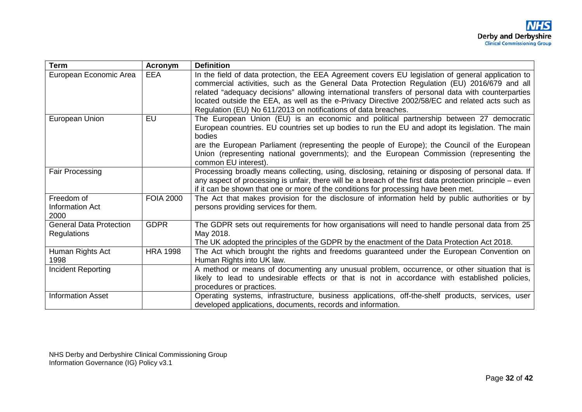| <b>Term</b>                                          | Acronym          | <b>Definition</b>                                                                                                                                                                                                                                                                                                                                                                                                                                                            |
|------------------------------------------------------|------------------|------------------------------------------------------------------------------------------------------------------------------------------------------------------------------------------------------------------------------------------------------------------------------------------------------------------------------------------------------------------------------------------------------------------------------------------------------------------------------|
| European Economic Area                               | <b>EEA</b>       | In the field of data protection, the EEA Agreement covers EU legislation of general application to<br>commercial activities, such as the General Data Protection Regulation (EU) 2016/679 and all<br>related "adequacy decisions" allowing international transfers of personal data with counterparties<br>located outside the EEA, as well as the e-Privacy Directive 2002/58/EC and related acts such as<br>Regulation (EU) No 611/2013 on notifications of data breaches. |
| European Union                                       | EU               | The European Union (EU) is an economic and political partnership between 27 democratic<br>European countries. EU countries set up bodies to run the EU and adopt its legislation. The main<br>bodies<br>are the European Parliament (representing the people of Europe); the Council of the European<br>Union (representing national governments); and the European Commission (representing the<br>common EU interest).                                                     |
| Fair Processing                                      |                  | Processing broadly means collecting, using, disclosing, retaining or disposing of personal data. If<br>any aspect of processing is unfair, there will be a breach of the first data protection principle – even<br>if it can be shown that one or more of the conditions for processing have been met.                                                                                                                                                                       |
| Freedom of<br><b>Information Act</b><br>2000         | <b>FOIA 2000</b> | The Act that makes provision for the disclosure of information held by public authorities or by<br>persons providing services for them.                                                                                                                                                                                                                                                                                                                                      |
| <b>General Data Protection</b><br><b>Regulations</b> | <b>GDPR</b>      | The GDPR sets out requirements for how organisations will need to handle personal data from 25<br>May 2018.<br>The UK adopted the principles of the GDPR by the enactment of the Data Protection Act 2018.                                                                                                                                                                                                                                                                   |
| Human Rights Act<br>1998                             | <b>HRA 1998</b>  | The Act which brought the rights and freedoms guaranteed under the European Convention on<br>Human Rights into UK law.                                                                                                                                                                                                                                                                                                                                                       |
| Incident Reporting                                   |                  | A method or means of documenting any unusual problem, occurrence, or other situation that is<br>likely to lead to undesirable effects or that is not in accordance with established policies,<br>procedures or practices.                                                                                                                                                                                                                                                    |
| <b>Information Asset</b>                             |                  | Operating systems, infrastructure, business applications, off-the-shelf products, services, user<br>developed applications, documents, records and information.                                                                                                                                                                                                                                                                                                              |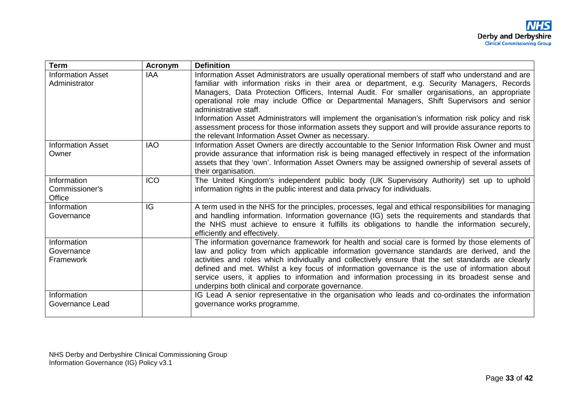| <b>Term</b>              | Acronym    | <b>Definition</b>                                                                                                                                                                                |
|--------------------------|------------|--------------------------------------------------------------------------------------------------------------------------------------------------------------------------------------------------|
| <b>Information Asset</b> | <b>IAA</b> | Information Asset Administrators are usually operational members of staff who understand and are                                                                                                 |
| Administrator            |            | familiar with information risks in their area or department, e.g. Security Managers, Records                                                                                                     |
|                          |            | Managers, Data Protection Officers, Internal Audit. For smaller organisations, an appropriate                                                                                                    |
|                          |            | operational role may include Office or Departmental Managers, Shift Supervisors and senior<br>administrative staff.                                                                              |
|                          |            | Information Asset Administrators will implement the organisation's information risk policy and risk                                                                                              |
|                          |            | assessment process for those information assets they support and will provide assurance reports to                                                                                               |
|                          |            | the relevant Information Asset Owner as necessary.                                                                                                                                               |
| <b>Information Asset</b> | <b>IAO</b> | Information Asset Owners are directly accountable to the Senior Information Risk Owner and must                                                                                                  |
| Owner                    |            | provide assurance that information risk is being managed effectively in respect of the information                                                                                               |
|                          |            | assets that they 'own'. Information Asset Owners may be assigned ownership of several assets of                                                                                                  |
|                          |            | their organisation.                                                                                                                                                                              |
| Information              | <b>ICO</b> | The United Kingdom's independent public body (UK Supervisory Authority) set up to uphold                                                                                                         |
| Commissioner's           |            | information rights in the public interest and data privacy for individuals.                                                                                                                      |
| Office                   |            |                                                                                                                                                                                                  |
| Information              | IG         | A term used in the NHS for the principles, processes, legal and ethical responsibilities for managing                                                                                            |
| Governance               |            | and handling information. Information governance (IG) sets the requirements and standards that<br>the NHS must achieve to ensure it fulfills its obligations to handle the information securely, |
|                          |            | efficiently and effectively.                                                                                                                                                                     |
| Information              |            | The information governance framework for health and social care is formed by those elements of                                                                                                   |
| Governance               |            | law and policy from which applicable information governance standards are derived, and the                                                                                                       |
| Framework                |            | activities and roles which individually and collectively ensure that the set standards are clearly                                                                                               |
|                          |            | defined and met. Whilst a key focus of information governance is the use of information about                                                                                                    |
|                          |            | service users, it applies to information and information processing in its broadest sense and                                                                                                    |
|                          |            | underpins both clinical and corporate governance.                                                                                                                                                |
| Information              |            | IG Lead A senior representative in the organisation who leads and co-ordinates the information                                                                                                   |
| Governance Lead          |            | governance works programme.                                                                                                                                                                      |
|                          |            |                                                                                                                                                                                                  |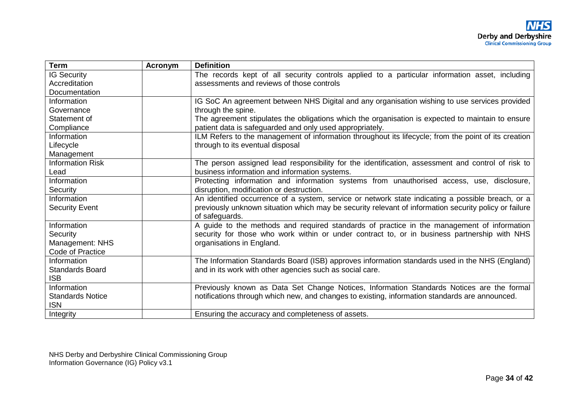| <b>Term</b>             | Acronym | <b>Definition</b>                                                                                     |
|-------------------------|---------|-------------------------------------------------------------------------------------------------------|
| <b>IG Security</b>      |         | The records kept of all security controls applied to a particular information asset, including        |
| Accreditation           |         | assessments and reviews of those controls                                                             |
| Documentation           |         |                                                                                                       |
| Information             |         | IG SoC An agreement between NHS Digital and any organisation wishing to use services provided         |
| Governance              |         | through the spine.                                                                                    |
| Statement of            |         | The agreement stipulates the obligations which the organisation is expected to maintain to ensure     |
| Compliance              |         | patient data is safeguarded and only used appropriately.                                              |
| Information             |         | ILM Refers to the management of information throughout its lifecycle; from the point of its creation  |
| Lifecycle               |         | through to its eventual disposal                                                                      |
| Management              |         |                                                                                                       |
| <b>Information Risk</b> |         | The person assigned lead responsibility for the identification, assessment and control of risk to     |
| Lead                    |         | business information and information systems.                                                         |
| Information             |         | Protecting information and information systems from unauthorised access, use, disclosure,             |
| Security                |         | disruption, modification or destruction.                                                              |
| Information             |         | An identified occurrence of a system, service or network state indicating a possible breach, or a     |
| <b>Security Event</b>   |         | previously unknown situation which may be security relevant of information security policy or failure |
|                         |         | of safeguards.                                                                                        |
| Information             |         | A guide to the methods and required standards of practice in the management of information            |
| Security                |         | security for those who work within or under contract to, or in business partnership with NHS          |
| Management: NHS         |         | organisations in England.                                                                             |
| Code of Practice        |         |                                                                                                       |
| Information             |         | The Information Standards Board (ISB) approves information standards used in the NHS (England)        |
| <b>Standards Board</b>  |         | and in its work with other agencies such as social care.                                              |
| <b>ISB</b>              |         |                                                                                                       |
| Information             |         | Previously known as Data Set Change Notices, Information Standards Notices are the formal             |
| <b>Standards Notice</b> |         | notifications through which new, and changes to existing, information standards are announced.        |
| <b>ISN</b>              |         |                                                                                                       |
| Integrity               |         | Ensuring the accuracy and completeness of assets.                                                     |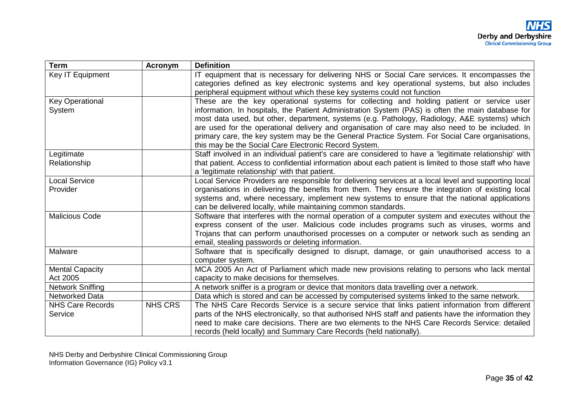| <b>Term</b>                        | <b>Acronym</b> | <b>Definition</b>                                                                                                                                                                                      |
|------------------------------------|----------------|--------------------------------------------------------------------------------------------------------------------------------------------------------------------------------------------------------|
| Key IT Equipment                   |                | IT equipment that is necessary for delivering NHS or Social Care services. It encompasses the                                                                                                          |
|                                    |                | categories defined as key electronic systems and key operational systems, but also includes                                                                                                            |
|                                    |                | peripheral equipment without which these key systems could not function                                                                                                                                |
| <b>Key Operational</b>             |                | These are the key operational systems for collecting and holding patient or service user                                                                                                               |
| System                             |                | information. In hospitals, the Patient Administration System (PAS) is often the main database for                                                                                                      |
|                                    |                | most data used, but other, department, systems (e.g. Pathology, Radiology, A&E systems) which                                                                                                          |
|                                    |                | are used for the operational delivery and organisation of care may also need to be included. In                                                                                                        |
|                                    |                | primary care, the key system may be the General Practice System. For Social Care organisations,<br>this may be the Social Care Electronic Record System.                                               |
| Legitimate                         |                | Staff involved in an individual patient's care are considered to have a 'legitimate relationship' with                                                                                                 |
| Relationship                       |                | that patient. Access to confidential information about each patient is limited to those staff who have                                                                                                 |
|                                    |                | a 'legitimate relationship' with that patient.                                                                                                                                                         |
| <b>Local Service</b>               |                | Local Service Providers are responsible for delivering services at a local level and supporting local                                                                                                  |
| <b>Provider</b>                    |                | organisations in delivering the benefits from them. They ensure the integration of existing local                                                                                                      |
|                                    |                | systems and, where necessary, implement new systems to ensure that the national applications                                                                                                           |
|                                    |                | can be delivered locally, while maintaining common standards.                                                                                                                                          |
| <b>Malicious Code</b>              |                | Software that interferes with the normal operation of a computer system and executes without the                                                                                                       |
|                                    |                | express consent of the user. Malicious code includes programs such as viruses, worms and                                                                                                               |
|                                    |                | Trojans that can perform unauthorised processes on a computer or network such as sending an                                                                                                            |
|                                    |                | email, stealing passwords or deleting information.                                                                                                                                                     |
| Malware                            |                | Software that is specifically designed to disrupt, damage, or gain unauthorised access to a                                                                                                            |
|                                    |                | computer system.                                                                                                                                                                                       |
| <b>Mental Capacity</b><br>Act 2005 |                | MCA 2005 An Act of Parliament which made new provisions relating to persons who lack mental<br>capacity to make decisions for themselves.                                                              |
| <b>Network Sniffing</b>            |                |                                                                                                                                                                                                        |
| <b>Networked Data</b>              |                | A network sniffer is a program or device that monitors data travelling over a network.                                                                                                                 |
| <b>NHS Care Records</b>            | <b>NHS CRS</b> | Data which is stored and can be accessed by computerised systems linked to the same network.                                                                                                           |
| Service                            |                | The NHS Care Records Service is a secure service that links patient information from different<br>parts of the NHS electronically, so that authorised NHS staff and patients have the information they |
|                                    |                | need to make care decisions. There are two elements to the NHS Care Records Service: detailed                                                                                                          |
|                                    |                | records (held locally) and Summary Care Records (held nationally).                                                                                                                                     |
|                                    |                |                                                                                                                                                                                                        |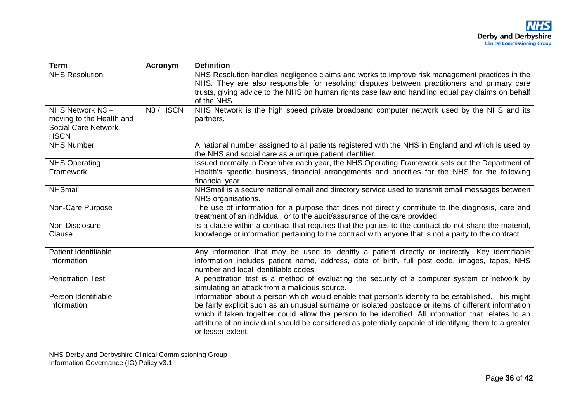| <b>Term</b>                                                                              | Acronym   | <b>Definition</b>                                                                                                                                                                                                                                                                                                  |
|------------------------------------------------------------------------------------------|-----------|--------------------------------------------------------------------------------------------------------------------------------------------------------------------------------------------------------------------------------------------------------------------------------------------------------------------|
| <b>NHS Resolution</b>                                                                    |           | NHS Resolution handles negligence claims and works to improve risk management practices in the<br>NHS. They are also responsible for resolving disputes between practitioners and primary care<br>trusts, giving advice to the NHS on human rights case law and handling equal pay claims on behalf<br>of the NHS. |
| NHS Network N3-<br>moving to the Health and<br><b>Social Care Network</b><br><b>HSCN</b> | N3 / HSCN | NHS Network is the high speed private broadband computer network used by the NHS and its<br>partners.                                                                                                                                                                                                              |
| <b>NHS Number</b>                                                                        |           | A national number assigned to all patients registered with the NHS in England and which is used by<br>the NHS and social care as a unique patient identifier.                                                                                                                                                      |
| <b>NHS Operating</b><br>Framework                                                        |           | Issued normally in December each year, the NHS Operating Framework sets out the Department of<br>Health's specific business, financial arrangements and priorities for the NHS for the following<br>financial year.                                                                                                |
| <b>NHSmail</b>                                                                           |           | NHSmail is a secure national email and directory service used to transmit email messages between<br>NHS organisations.                                                                                                                                                                                             |
| Non-Care Purpose                                                                         |           | The use of information for a purpose that does not directly contribute to the diagnosis, care and<br>treatment of an individual, or to the audit/assurance of the care provided.                                                                                                                                   |
| Non-Disclosure<br>Clause                                                                 |           | Is a clause within a contract that requires that the parties to the contract do not share the material,<br>knowledge or information pertaining to the contract with anyone that is not a party to the contract.                                                                                                    |
| Patient Identifiable<br>Information                                                      |           | Any information that may be used to identify a patient directly or indirectly. Key identifiable<br>information includes patient name, address, date of birth, full post code, images, tapes, NHS<br>number and local identifiable codes.                                                                           |
| <b>Penetration Test</b>                                                                  |           | A penetration test is a method of evaluating the security of a computer system or network by<br>simulating an attack from a malicious source.                                                                                                                                                                      |
| Person Identifiable                                                                      |           | Information about a person which would enable that person's identity to be established. This might                                                                                                                                                                                                                 |
| Information                                                                              |           | be fairly explicit such as an unusual surname or isolated postcode or items of different information                                                                                                                                                                                                               |
|                                                                                          |           | which if taken together could allow the person to be identified. All information that relates to an                                                                                                                                                                                                                |
|                                                                                          |           | attribute of an individual should be considered as potentially capable of identifying them to a greater<br>or lesser extent.                                                                                                                                                                                       |
|                                                                                          |           |                                                                                                                                                                                                                                                                                                                    |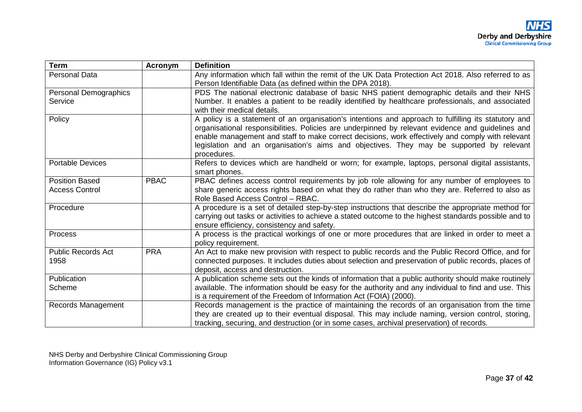| <b>Term</b>               | Acronym     | <b>Definition</b>                                                                                     |
|---------------------------|-------------|-------------------------------------------------------------------------------------------------------|
| <b>Personal Data</b>      |             | Any information which fall within the remit of the UK Data Protection Act 2018. Also referred to as   |
|                           |             | Person Identifiable Data (as defined within the DPA 2018).                                            |
| Personal Demographics     |             | PDS The national electronic database of basic NHS patient demographic details and their NHS           |
| Service                   |             | Number. It enables a patient to be readily identified by healthcare professionals, and associated     |
|                           |             | with their medical details.                                                                           |
| Policy                    |             | A policy is a statement of an organisation's intentions and approach to fulfilling its statutory and  |
|                           |             | organisational responsibilities. Policies are underpinned by relevant evidence and guidelines and     |
|                           |             | enable management and staff to make correct decisions, work effectively and comply with relevant      |
|                           |             | legislation and an organisation's aims and objectives. They may be supported by relevant              |
|                           |             | procedures.                                                                                           |
| <b>Portable Devices</b>   |             | Refers to devices which are handheld or worn; for example, laptops, personal digital assistants,      |
|                           |             | smart phones.                                                                                         |
| <b>Position Based</b>     | <b>PBAC</b> | PBAC defines access control requirements by job role allowing for any number of employees to          |
| <b>Access Control</b>     |             | share generic access rights based on what they do rather than who they are. Referred to also as       |
|                           |             | Role Based Access Control - RBAC.                                                                     |
| Procedure                 |             | A procedure is a set of detailed step-by-step instructions that describe the appropriate method for   |
|                           |             | carrying out tasks or activities to achieve a stated outcome to the highest standards possible and to |
|                           |             | ensure efficiency, consistency and safety.                                                            |
| Process                   |             | A process is the practical workings of one or more procedures that are linked in order to meet a      |
|                           |             | policy requirement.                                                                                   |
| <b>Public Records Act</b> | <b>PRA</b>  | An Act to make new provision with respect to public records and the Public Record Office, and for     |
| 1958                      |             | connected purposes. It includes duties about selection and preservation of public records, places of  |
|                           |             | deposit, access and destruction.                                                                      |
| Publication               |             | A publication scheme sets out the kinds of information that a public authority should make routinely  |
| Scheme                    |             | available. The information should be easy for the authority and any individual to find and use. This  |
|                           |             | is a requirement of the Freedom of Information Act (FOIA) (2000).                                     |
| Records Management        |             | Records management is the practice of maintaining the records of an organisation from the time        |
|                           |             | they are created up to their eventual disposal. This may include naming, version control, storing,    |
|                           |             | tracking, securing, and destruction (or in some cases, archival preservation) of records.             |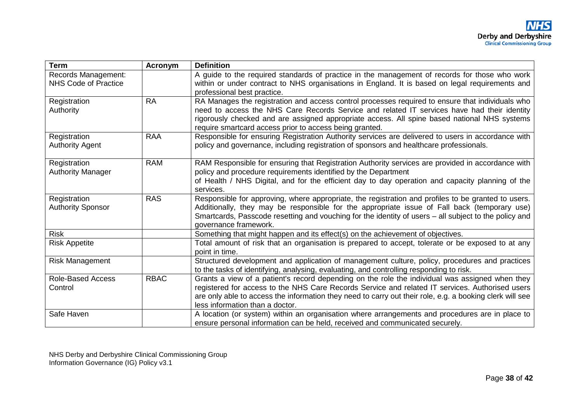| <b>Term</b>                                        | <b>Acronym</b> | <b>Definition</b>                                                                                                                                                                                                                                                                                                                                          |
|----------------------------------------------------|----------------|------------------------------------------------------------------------------------------------------------------------------------------------------------------------------------------------------------------------------------------------------------------------------------------------------------------------------------------------------------|
| Records Management:<br><b>NHS Code of Practice</b> |                | A guide to the required standards of practice in the management of records for those who work<br>within or under contract to NHS organisations in England. It is based on legal requirements and<br>professional best practice.                                                                                                                            |
| Registration<br>Authority                          | <b>RA</b>      | RA Manages the registration and access control processes required to ensure that individuals who<br>need to access the NHS Care Records Service and related IT services have had their identity<br>rigorously checked and are assigned appropriate access. All spine based national NHS systems<br>require smartcard access prior to access being granted. |
| Registration<br><b>Authority Agent</b>             | <b>RAA</b>     | Responsible for ensuring Registration Authority services are delivered to users in accordance with<br>policy and governance, including registration of sponsors and healthcare professionals.                                                                                                                                                              |
| Registration<br><b>Authority Manager</b>           | <b>RAM</b>     | RAM Responsible for ensuring that Registration Authority services are provided in accordance with<br>policy and procedure requirements identified by the Department<br>of Health / NHS Digital, and for the efficient day to day operation and capacity planning of the<br>services.                                                                       |
| Registration<br><b>Authority Sponsor</b>           | <b>RAS</b>     | Responsible for approving, where appropriate, the registration and profiles to be granted to users.<br>Additionally, they may be responsible for the appropriate issue of Fall back (temporary use)<br>Smartcards, Passcode resetting and vouching for the identity of users – all subject to the policy and<br>governance framework.                      |
| <b>Risk</b>                                        |                | Something that might happen and its effect(s) on the achievement of objectives.                                                                                                                                                                                                                                                                            |
| <b>Risk Appetite</b>                               |                | Total amount of risk that an organisation is prepared to accept, tolerate or be exposed to at any<br>point in time.                                                                                                                                                                                                                                        |
| <b>Risk Management</b>                             |                | Structured development and application of management culture, policy, procedures and practices<br>to the tasks of identifying, analysing, evaluating, and controlling responding to risk.                                                                                                                                                                  |
| <b>Role-Based Access</b><br>Control                | <b>RBAC</b>    | Grants a view of a patient's record depending on the role the individual was assigned when they<br>registered for access to the NHS Care Records Service and related IT services. Authorised users<br>are only able to access the information they need to carry out their role, e.g. a booking clerk will see<br>less information than a doctor.          |
| Safe Haven                                         |                | A location (or system) within an organisation where arrangements and procedures are in place to<br>ensure personal information can be held, received and communicated securely.                                                                                                                                                                            |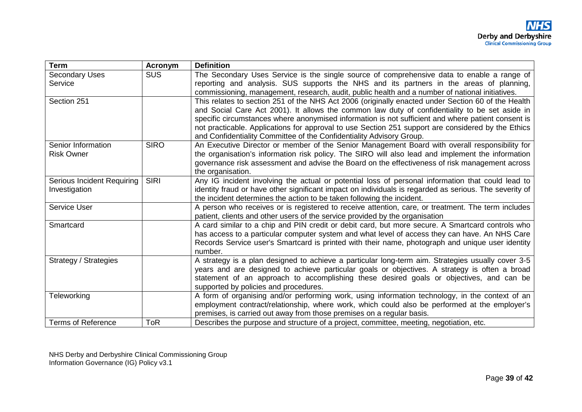| <b>Term</b>                | Acronym     | <b>Definition</b>                                                                                                                                                                |
|----------------------------|-------------|----------------------------------------------------------------------------------------------------------------------------------------------------------------------------------|
| <b>Secondary Uses</b>      | <b>SUS</b>  | The Secondary Uses Service is the single source of comprehensive data to enable a range of                                                                                       |
| Service                    |             | reporting and analysis. SUS supports the NHS and its partners in the areas of planning,                                                                                          |
|                            |             | commissioning, management, research, audit, public health and a number of national initiatives.                                                                                  |
| Section 251                |             | This relates to section 251 of the NHS Act 2006 (originally enacted under Section 60 of the Health                                                                               |
|                            |             | and Social Care Act 2001). It allows the common law duty of confidentiality to be set aside in                                                                                   |
|                            |             | specific circumstances where anonymised information is not sufficient and where patient consent is                                                                               |
|                            |             | not practicable. Applications for approval to use Section 251 support are considered by the Ethics                                                                               |
|                            |             | and Confidentiality Committee of the Confidentiality Advisory Group.                                                                                                             |
| Senior Information         | <b>SIRO</b> | An Executive Director or member of the Senior Management Board with overall responsibility for                                                                                   |
| <b>Risk Owner</b>          |             | the organisation's information risk policy. The SIRO will also lead and implement the information                                                                                |
|                            |             | governance risk assessment and advise the Board on the effectiveness of risk management across                                                                                   |
|                            |             | the organisation.                                                                                                                                                                |
| Serious Incident Requiring | <b>SIRI</b> | Any IG incident involving the actual or potential loss of personal information that could lead to                                                                                |
| Investigation              |             | identity fraud or have other significant impact on individuals is regarded as serious. The severity of                                                                           |
|                            |             | the incident determines the action to be taken following the incident.                                                                                                           |
| <b>Service User</b>        |             | A person who receives or is registered to receive attention, care, or treatment. The term includes                                                                               |
| Smartcard                  |             | patient, clients and other users of the service provided by the organisation<br>A card similar to a chip and PIN credit or debit card, but more secure. A Smartcard controls who |
|                            |             | has access to a particular computer system and what level of access they can have. An NHS Care                                                                                   |
|                            |             | Records Service user's Smartcard is printed with their name, photograph and unique user identity                                                                                 |
|                            |             | number.                                                                                                                                                                          |
| Strategy / Strategies      |             | A strategy is a plan designed to achieve a particular long-term aim. Strategies usually cover 3-5                                                                                |
|                            |             | years and are designed to achieve particular goals or objectives. A strategy is often a broad                                                                                    |
|                            |             | statement of an approach to accomplishing these desired goals or objectives, and can be                                                                                          |
|                            |             | supported by policies and procedures.                                                                                                                                            |
| <b>Teleworking</b>         |             | A form of organising and/or performing work, using information technology, in the context of an                                                                                  |
|                            |             | employment contract/relationship, where work, which could also be performed at the employer's                                                                                    |
|                            |             | premises, is carried out away from those premises on a regular basis.                                                                                                            |
| <b>Terms of Reference</b>  | <b>ToR</b>  | Describes the purpose and structure of a project, committee, meeting, negotiation, etc.                                                                                          |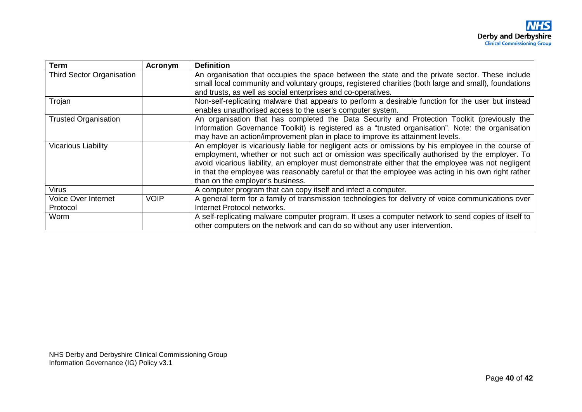| <b>Term</b>                      | Acronym     | <b>Definition</b>                                                                                                                                                                                                                                                                                                                                                                                                                                      |
|----------------------------------|-------------|--------------------------------------------------------------------------------------------------------------------------------------------------------------------------------------------------------------------------------------------------------------------------------------------------------------------------------------------------------------------------------------------------------------------------------------------------------|
| <b>Third Sector Organisation</b> |             | An organisation that occupies the space between the state and the private sector. These include<br>small local community and voluntary groups, registered charities (both large and small), foundations                                                                                                                                                                                                                                                |
|                                  |             | and trusts, as well as social enterprises and co-operatives.                                                                                                                                                                                                                                                                                                                                                                                           |
| Trojan                           |             | Non-self-replicating malware that appears to perform a desirable function for the user but instead<br>enables unauthorised access to the user's computer system.                                                                                                                                                                                                                                                                                       |
| <b>Trusted Organisation</b>      |             | An organisation that has completed the Data Security and Protection Toolkit (previously the<br>Information Governance Toolkit) is registered as a "trusted organisation". Note: the organisation<br>may have an action/improvement plan in place to improve its attainment levels.                                                                                                                                                                     |
| <b>Vicarious Liability</b>       |             | An employer is vicariously liable for negligent acts or omissions by his employee in the course of<br>employment, whether or not such act or omission was specifically authorised by the employer. To<br>avoid vicarious liability, an employer must demonstrate either that the employee was not negligent<br>in that the employee was reasonably careful or that the employee was acting in his own right rather<br>than on the employer's business. |
| <b>Virus</b>                     |             | A computer program that can copy itself and infect a computer.                                                                                                                                                                                                                                                                                                                                                                                         |
| Voice Over Internet              | <b>VOIP</b> | A general term for a family of transmission technologies for delivery of voice communications over                                                                                                                                                                                                                                                                                                                                                     |
| Protocol                         |             | Internet Protocol networks.                                                                                                                                                                                                                                                                                                                                                                                                                            |
| Worm                             |             | A self-replicating malware computer program. It uses a computer network to send copies of itself to<br>other computers on the network and can do so without any user intervention.                                                                                                                                                                                                                                                                     |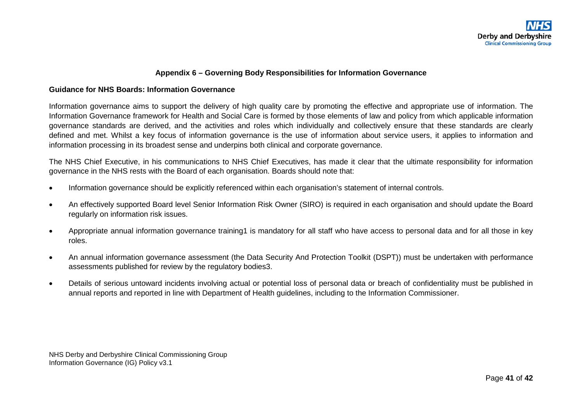#### **Appendix 6 – Governing Body Responsibilities for Information Governance**

#### **Guidance for NHS Boards: Information Governance**

Information governance aims to support the delivery of high quality care by promoting the effective and appropriate use of information. The Information Governance framework for Health and Social Care is formed by those elements of law and policy from which applicable information governance standards are derived, and the activities and roles which individually and collectively ensure that these standards are clearly defined and met. Whilst a key focus of information governance is the use of information about service users, it applies to information and information processing in its broadest sense and underpins both clinical and corporate governance.

The NHS Chief Executive, in his communications to NHS Chief Executives, has made it clear that the ultimate responsibility for information governance in the NHS rests with the Board of each organisation. Boards should note that:

- Information governance should be explicitly referenced within each organisation's statement of internal controls.
- An effectively supported Board level Senior Information Risk Owner (SIRO) is required in each organisation and should update the Board regularly on information risk issues.
- <span id="page-40-0"></span>• Appropriate annual information governance training1 is mandatory for all staff who have access to personal data and for all those in key roles.
- An annual information governance assessment (the Data Security And Protection Toolkit (DSPT)) must be undertaken with performance assessments published for review by the regulatory bodies3.
- Details of serious untoward incidents involving actual or potential loss of personal data or breach of confidentiality must be published in annual reports and reported in line with Department of Health guidelines, including to the Information Commissioner.